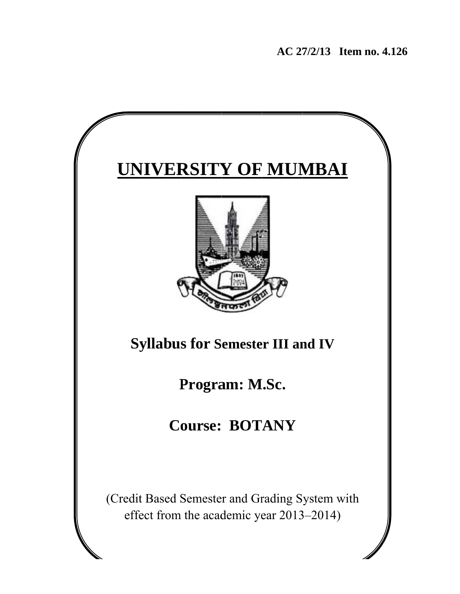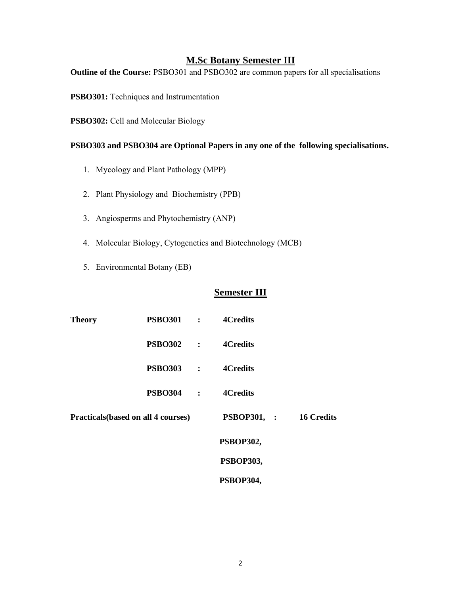#### **M.Sc Botany Semester III**

**Outline of the Course:** PSBO301 and PSBO302 are common papers for all specialisations

**PSBO301:** Techniques and Instrumentation

**PSBO302:** Cell and Molecular Biology

#### **PSBO303 and PSBO304 are Optional Papers in any one of the following specialisations.**

- 1. Mycology and Plant Pathology (MPP)
- 2. Plant Physiology and Biochemistry (PPB)
- 3. Angiosperms and Phytochemistry (ANP)
- 4. Molecular Biology, Cytogenetics and Biotechnology (MCB)
- 5. Environmental Botany (EB)

### **Semester III**

| <b>Theory</b> | <b>PSBO301 :</b>                           | <b>4Credits</b>  |                   |
|---------------|--------------------------------------------|------------------|-------------------|
|               | <b>PSBO302 :</b>                           | <b>4Credits</b>  |                   |
|               | <b>PSBO303</b> :                           | <b>4Credits</b>  |                   |
|               | <b>PSBO304</b> :                           | <b>4Credits</b>  |                   |
|               | <b>Practicals</b> (based on all 4 courses) | PSBOP301, :      | <b>16 Credits</b> |
|               |                                            | <b>PSBOP302,</b> |                   |
|               |                                            | <b>PSBOP303,</b> |                   |
|               |                                            | PSBOP304,        |                   |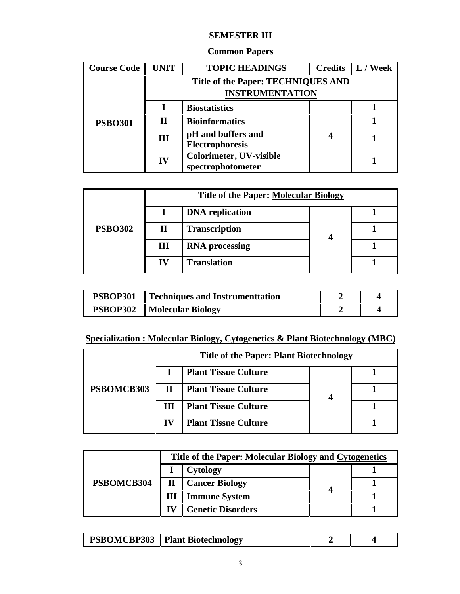## **SEMESTER III**

| <b>Common Papers</b> |  |
|----------------------|--|
|----------------------|--|

| <b>Course Code</b> | <b>UNIT</b> | <b>TOPIC HEADINGS</b>                     |   | <b>Credits</b> $\  L / \text{Week} \ $ |  |  |  |
|--------------------|-------------|-------------------------------------------|---|----------------------------------------|--|--|--|
|                    |             | <b>Title of the Paper: TECHNIQUES AND</b> |   |                                        |  |  |  |
|                    |             | <b>INSTRUMENTATION</b>                    |   |                                        |  |  |  |
|                    |             | <b>Biostatistics</b>                      |   |                                        |  |  |  |
| <b>PSBO301</b>     | $\mathbf H$ | <b>Bioinformatics</b>                     | 4 |                                        |  |  |  |
|                    | III         | pH and buffers and                        |   |                                        |  |  |  |
|                    |             | Electrophoresis                           |   |                                        |  |  |  |
|                    | IV          | <b>Colorimeter, UV-visible</b>            |   |                                        |  |  |  |
|                    |             | spectrophotometer                         |   |                                        |  |  |  |

|                |    | <b>Title of the Paper: Molecular Biology</b> |  |  |  |  |  |
|----------------|----|----------------------------------------------|--|--|--|--|--|
|                |    | <b>DNA</b> replication                       |  |  |  |  |  |
| <b>PSBO302</b> |    | <b>Transcription</b>                         |  |  |  |  |  |
|                | Ш  | <b>RNA</b> processing                        |  |  |  |  |  |
|                | IV | <b>Translation</b>                           |  |  |  |  |  |

| <b>PSBOP301</b> | $\perp$ Techniques and Instrument tation |  |
|-----------------|------------------------------------------|--|
|                 | <b>PSBOP302</b> Molecular Biology        |  |

## **Specialization : Molecular Biology, Cytogenetics & Plant Biotechnology (MBC)**

|            |              | Title of the Paper: Plant Biotechnology |  |  |  |  |
|------------|--------------|-----------------------------------------|--|--|--|--|
|            |              | <b>Plant Tissue Culture</b>             |  |  |  |  |
| PSBOMCB303 | $\mathbf{H}$ | <b>Plant Tissue Culture</b>             |  |  |  |  |
|            | ш            | <b>Plant Tissue Culture</b>             |  |  |  |  |
|            | IV           | <b>Plant Tissue Culture</b>             |  |  |  |  |

|            | Title of the Paper: Molecular Biology and Cytogenetics |                          |   |  |  |
|------------|--------------------------------------------------------|--------------------------|---|--|--|
|            |                                                        | Cytology                 |   |  |  |
| PSBOMCB304 |                                                        | <b>Cancer Biology</b>    | 4 |  |  |
|            | Ш                                                      | <b>Immune System</b>     |   |  |  |
|            |                                                        | <b>Genetic Disorders</b> |   |  |  |

|  | <b>PSBOMCBP303</b> | J Plant Biotechnology |  |  |
|--|--------------------|-----------------------|--|--|
|--|--------------------|-----------------------|--|--|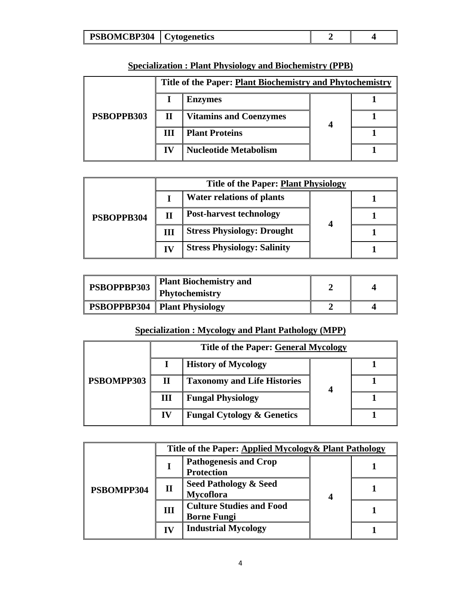| PSBOMCBP304<br>bvtogenetics |  |
|-----------------------------|--|

|            | Title of the Paper: Plant Biochemistry and Phytochemistry |                               |  |  |  |
|------------|-----------------------------------------------------------|-------------------------------|--|--|--|
|            |                                                           | <b>Enzymes</b>                |  |  |  |
| PSBOPPB303 | $\mathbf H$                                               | <b>Vitamins and Coenzymes</b> |  |  |  |
|            | Ш                                                         | <b>Plant Proteins</b>         |  |  |  |
|            | $\bf{IV}$                                                 | <b>Nucleotide Metabolism</b>  |  |  |  |

# **Specialization : Plant Physiology and Biochemistry (PPB)**

|            | <b>Title of the Paper: Plant Physiology</b> |                                    |                  |  |  |
|------------|---------------------------------------------|------------------------------------|------------------|--|--|
|            |                                             | <b>Water relations of plants</b>   |                  |  |  |
| PSBOPPB304 | Н                                           | <b>Post-harvest technology</b>     |                  |  |  |
|            | Ш                                           | <b>Stress Physiology: Drought</b>  | $\boldsymbol{4}$ |  |  |
|            | IV                                          | <b>Stress Physiology: Salinity</b> |                  |  |  |

| PSBOPPBP303 | <b>Plant Biochemistry and</b><br><b>Phytochemistry</b> |  |
|-------------|--------------------------------------------------------|--|
|             | <b>PSBOPPBP304</b>   Plant Physiology                  |  |

### **Specialization : Mycology and Plant Pathology (MPP)**

|            | <b>Title of the Paper: General Mycology</b> |                                       |  |  |  |
|------------|---------------------------------------------|---------------------------------------|--|--|--|
|            |                                             | <b>History of Mycology</b>            |  |  |  |
| PSBOMPP303 | П                                           | <b>Taxonomy and Life Histories</b>    |  |  |  |
|            | Ш                                           | <b>Fungal Physiology</b>              |  |  |  |
|            | IV                                          | <b>Fungal Cytology &amp; Genetics</b> |  |  |  |

|            | Title of the Paper: Applied Mycology & Plant Pathology |                                                       |   |  |  |
|------------|--------------------------------------------------------|-------------------------------------------------------|---|--|--|
| PSBOMPP304 |                                                        | <b>Pathogenesis and Crop</b><br><b>Protection</b>     | 4 |  |  |
|            | $\mathbf H$                                            | <b>Seed Pathology &amp; Seed</b><br><b>Mycoflora</b>  |   |  |  |
|            | Ш                                                      | <b>Culture Studies and Food</b><br><b>Borne Fungi</b> |   |  |  |
|            | IV                                                     | <b>Industrial Mycology</b>                            |   |  |  |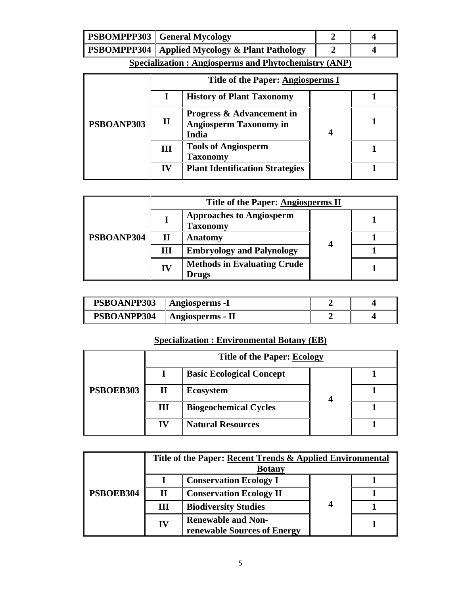| <b>PSBOMPPP303</b> General Mycology              |  |
|--------------------------------------------------|--|
| PSBOMPPP304   Applied Mycology & Plant Pathology |  |

|            |           | <b>History of Plant Taxonomy</b>                                               |  |  |
|------------|-----------|--------------------------------------------------------------------------------|--|--|
| PSBOANP303 | П         | <b>Progress &amp; Advancement in</b><br><b>Angiosperm Taxonomy in</b><br>India |  |  |
|            | Ш         | <b>Tools of Angiosperm</b><br><b>Taxonomy</b>                                  |  |  |
|            | $\bf{IV}$ | <b>Plant Identification Strategies</b>                                         |  |  |

|            |    | Title of the Paper: Angiosperms II                 |   |  |  |
|------------|----|----------------------------------------------------|---|--|--|
|            |    | <b>Approaches to Angiosperm</b><br><b>Taxonomy</b> |   |  |  |
| PSBOANP304 | П  | Anatomy                                            | 4 |  |  |
|            | Ш  | <b>Embryology and Palynology</b>                   |   |  |  |
|            | IV | <b>Methods in Evaluating Crude</b><br><b>Drugs</b> |   |  |  |

| PSBOANPP303 | Angiosperms -1   |  |
|-------------|------------------|--|
| PSBOANPP304 | Angiosperms - II |  |

# **Specialization : Environmental Botany (EB)**

|           | <b>Title of the Paper: Ecology</b> |                                 |  |  |  |  |
|-----------|------------------------------------|---------------------------------|--|--|--|--|
|           |                                    | <b>Basic Ecological Concept</b> |  |  |  |  |
| PSBOEB303 |                                    | <b>Ecosystem</b>                |  |  |  |  |
|           | Ш                                  | <b>Biogeochemical Cycles</b>    |  |  |  |  |
|           | IV                                 | <b>Natural Resources</b>        |  |  |  |  |

|           | Title of the Paper: Recent Trends & Applied Environmental<br><b>Botany</b> |                                                          |   |  |
|-----------|----------------------------------------------------------------------------|----------------------------------------------------------|---|--|
|           |                                                                            | <b>Conservation Ecology I</b>                            |   |  |
| PSBOEB304 | П                                                                          | <b>Conservation Ecology II</b>                           |   |  |
|           | Ш                                                                          | <b>Biodiversity Studies</b>                              | 4 |  |
|           | IV                                                                         | <b>Renewable and Non-</b><br>renewable Sources of Energy |   |  |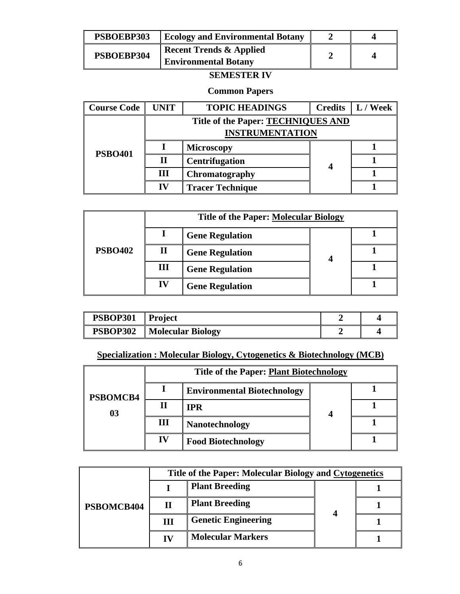| PSBOEBP303 | <b>Ecology and Environmental Botany</b> |  |  |
|------------|-----------------------------------------|--|--|
| PSBOEBP304 | <b>Recent Trends &amp; Applied</b>      |  |  |
|            | <b>Environmental Botany</b>             |  |  |

# **SEMESTER IV**

### **Common Papers**

| <b>Course Code</b> | <b>UNIT</b> | <b>TOPIC HEADINGS</b>                                        |  | <b>Credits</b> $\  L /$ Week |
|--------------------|-------------|--------------------------------------------------------------|--|------------------------------|
|                    |             | Title of the Paper: TECHNIQUES AND<br><b>INSTRUMENTATION</b> |  |                              |
| <b>PSBO401</b>     |             | <b>Microscopy</b>                                            |  |                              |
|                    | П           | <b>Centrifugation</b>                                        |  |                              |
|                    | Ш           | Chromatography                                               |  |                              |
|                    | IV          | <b>Tracer Technique</b>                                      |  |                              |

|                | <b>Title of the Paper: Molecular Biology</b> |                        |  |  |  |
|----------------|----------------------------------------------|------------------------|--|--|--|
|                |                                              | <b>Gene Regulation</b> |  |  |  |
| <b>PSBO402</b> | П                                            | <b>Gene Regulation</b> |  |  |  |
|                | III                                          | <b>Gene Regulation</b> |  |  |  |
|                | IV                                           | <b>Gene Regulation</b> |  |  |  |

| <b>PSBOP301</b> Project |                                      |  |
|-------------------------|--------------------------------------|--|
|                         | <b>PSBOP302</b>    Molecular Biology |  |

### **Specialization : Molecular Biology, Cytogenetics & Biotechnology (MCB)**

|                |     | <b>Title of the Paper: Plant Biotechnology</b> |   |  |
|----------------|-----|------------------------------------------------|---|--|
| PSBOMCB4<br>03 |     | <b>Environmental Biotechnology</b>             |   |  |
|                | Н   | IPR                                            | 4 |  |
|                | III | <b>Nanotechnology</b>                          |   |  |
|                | IV  | <b>Food Biotechnology</b>                      |   |  |

|            |    | Title of the Paper: Molecular Biology and Cytogenetics |  |  |  |  |
|------------|----|--------------------------------------------------------|--|--|--|--|
| PSBOMCB404 |    | <b>Plant Breeding</b>                                  |  |  |  |  |
|            | Н  | <b>Plant Breeding</b>                                  |  |  |  |  |
|            | Ш  | <b>Genetic Engineering</b>                             |  |  |  |  |
|            | ГV | <b>Molecular Markers</b>                               |  |  |  |  |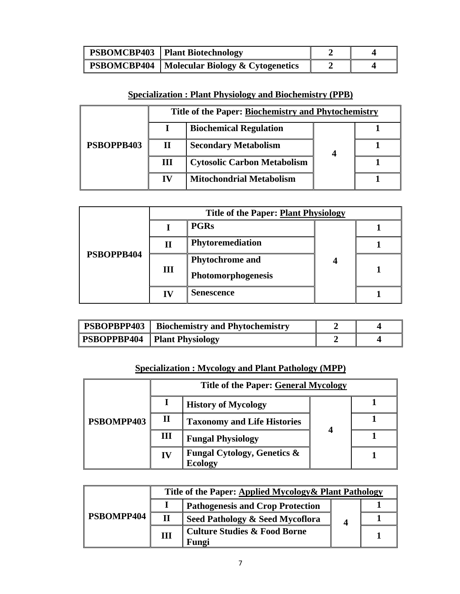| <b>PSBOMCBP403</b>   Plant Biotechnology              |  |
|-------------------------------------------------------|--|
| <b>PSBOMCBP404</b>   Molecular Biology & Cytogenetics |  |

## **Specialization : Plant Physiology and Biochemistry (PPB)**

|            |    | Title of the Paper: Biochemistry and Phytochemistry |  |
|------------|----|-----------------------------------------------------|--|
| PSBOPPB403 |    | <b>Biochemical Regulation</b>                       |  |
|            | П  | <b>Secondary Metabolism</b>                         |  |
|            | Ш  | <b>Cytosolic Carbon Metabolism</b>                  |  |
|            | IV | <b>Mitochondrial Metabolism</b>                     |  |

|            |    | <b>Title of the Paper: Plant Physiology</b> |  |  |  |  |
|------------|----|---------------------------------------------|--|--|--|--|
| PSBOPPB404 |    | <b>PGRs</b>                                 |  |  |  |  |
|            | П  | Phytoremediation                            |  |  |  |  |
|            |    | <b>Phytochrome</b> and                      |  |  |  |  |
|            | Ш  | Photomorphogenesis                          |  |  |  |  |
|            | IV | <b>Senescence</b>                           |  |  |  |  |

| <b>PSBOPBPP403</b> Biochemistry and Phytochemistry |  |
|----------------------------------------------------|--|
| <b>PSBOPPBP404</b> Plant Physiology                |  |

### **Specialization : Mycology and Plant Pathology (MPP)**

|            |              | <b>Title of the Paper: General Mycology</b>              |  |  |  |
|------------|--------------|----------------------------------------------------------|--|--|--|
|            |              | <b>History of Mycology</b>                               |  |  |  |
| PSBOMPP403 | $\mathbf{I}$ | <b>Taxonomy and Life Histories</b>                       |  |  |  |
|            | Ш            | <b>Fungal Physiology</b>                                 |  |  |  |
|            | IV           | <b>Fungal Cytology, Genetics &amp;</b><br><b>Ecology</b> |  |  |  |

| PSBOMPP404 |   | Title of the Paper: Applied Mycology & Plant Pathology |  |  |  |  |
|------------|---|--------------------------------------------------------|--|--|--|--|
|            |   | <b>Pathogenesis and Crop Protection</b>                |  |  |  |  |
|            | П | Seed Pathology & Seed Mycoflora                        |  |  |  |  |
|            | Ш | <b>Culture Studies &amp; Food Borne</b><br>Fungi       |  |  |  |  |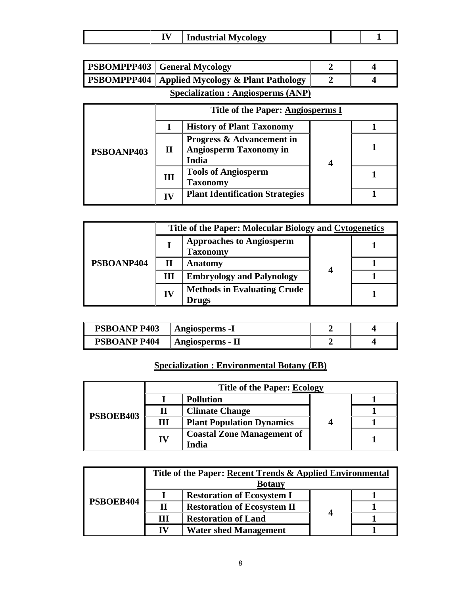| -- -<br>/cology<br>Industrial |
|-------------------------------|
|-------------------------------|

| <b>PSBOMPPP403</b> General Mycology                     |  |
|---------------------------------------------------------|--|
| <b>PSBOMPPP404</b>   Applied Mycology & Plant Pathology |  |

# **Specialization : Angiosperms (ANP)**

|            | <b>Title of the Paper: Angiosperms I</b> |                                                                                |   |  |  |
|------------|------------------------------------------|--------------------------------------------------------------------------------|---|--|--|
| PSBOANP403 |                                          | <b>History of Plant Taxonomy</b>                                               |   |  |  |
|            | П                                        | <b>Progress &amp; Advancement in</b><br><b>Angiosperm Taxonomy in</b><br>India | 4 |  |  |
|            | Ш                                        | <b>Tools of Angiosperm</b><br><b>Taxonomy</b>                                  |   |  |  |
|            | IV                                       | <b>Plant Identification Strategies</b>                                         |   |  |  |

|            |    | Title of the Paper: Molecular Biology and Cytogenetics |   |  |
|------------|----|--------------------------------------------------------|---|--|
| PSBOANP404 |    | <b>Approaches to Angiosperm</b><br>Taxonomy            |   |  |
|            | П  | Anatomy                                                | 4 |  |
|            | Ш  | <b>Embryology and Palynology</b>                       |   |  |
|            | IV | <b>Methods in Evaluating Crude</b><br>Drugs            |   |  |

| <b>PSBOANP P403</b> | Angiosperms -1   |  |
|---------------------|------------------|--|
| <b>PSBOANP P404</b> | Angiosperms - II |  |

# **Specialization : Environmental Botany (EB)**

|           |    | <b>Title of the Paper: Ecology</b>         |  |  |
|-----------|----|--------------------------------------------|--|--|
| PSBOEB403 |    | <b>Pollution</b>                           |  |  |
|           |    | <b>Climate Change</b>                      |  |  |
|           | Ш  | <b>Plant Population Dynamics</b>           |  |  |
|           | IV | <b>Coastal Zone Management of</b><br>[ndia |  |  |

| Title of the Paper: Recent Trends & Applied Environmental |   |                                    |   |  |
|-----------------------------------------------------------|---|------------------------------------|---|--|
| PSBOEB404                                                 |   | <b>Botany</b>                      |   |  |
|                                                           |   | <b>Restoration of Ecosystem I</b>  |   |  |
|                                                           | П | <b>Restoration of Ecosystem II</b> |   |  |
|                                                           | Ш | <b>Restoration of Land</b>         | 4 |  |
|                                                           |   | <b>Water shed Management</b>       |   |  |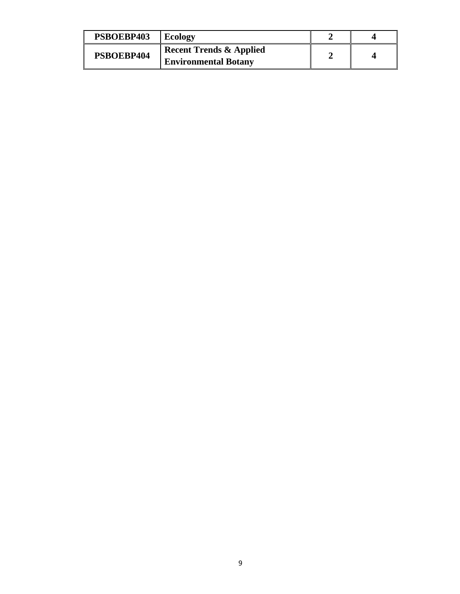| PSBOEBP403 | <b>Ecology</b>                     |  |
|------------|------------------------------------|--|
| PSBOEBP404 | <b>Recent Trends &amp; Applied</b> |  |
|            | <b>Environmental Botany</b>        |  |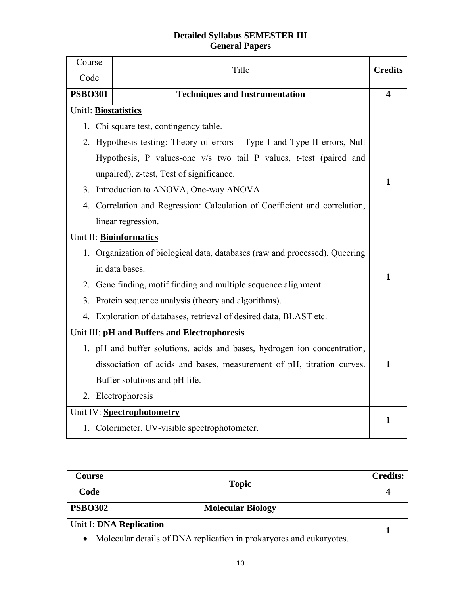### **Detailed Syllabus SEMESTER III General Papers**

| Course                 | Title                                                                        | <b>Credits</b> |
|------------------------|------------------------------------------------------------------------------|----------------|
| Code<br><b>PSBO301</b> |                                                                              |                |
|                        | <b>Techniques and Instrumentation</b>                                        | 4              |
| UnitI: Biostatistics   |                                                                              |                |
|                        | 1. Chi square test, contingency table.                                       |                |
|                        | 2. Hypothesis testing: Theory of errors – Type I and Type II errors, Null    |                |
|                        | Hypothesis, P values-one $v/s$ two tail P values, <i>t</i> -test (paired and |                |
|                        | unpaired), z-test, Test of significance.                                     |                |
|                        | 3. Introduction to ANOVA, One-way ANOVA.                                     | 1              |
|                        | 4. Correlation and Regression: Calculation of Coefficient and correlation,   |                |
|                        | linear regression.                                                           |                |
|                        | Unit II: Bioinformatics                                                      |                |
|                        | 1. Organization of biological data, databases (raw and processed), Queering  |                |
|                        | in data bases.                                                               | $\mathbf{1}$   |
|                        | 2. Gene finding, motif finding and multiple sequence alignment.              |                |
|                        | 3. Protein sequence analysis (theory and algorithms).                        |                |
|                        | 4. Exploration of databases, retrieval of desired data, BLAST etc.           |                |
|                        | Unit III: pH and Buffers and Electrophoresis                                 |                |
|                        | 1. pH and buffer solutions, acids and bases, hydrogen ion concentration,     |                |
|                        | dissociation of acids and bases, measurement of pH, titration curves.        | 1              |
|                        | Buffer solutions and pH life.                                                |                |
|                        | 2. Electrophoresis                                                           |                |
|                        | Unit IV: Spectrophotometry                                                   |                |
|                        | 1. Colorimeter, UV-visible spectrophotometer.                                | 1              |

| Course<br>Code | <b>Topic</b>                                                                                   | <b>Credits:</b> |
|----------------|------------------------------------------------------------------------------------------------|-----------------|
| <b>PSBO302</b> | <b>Molecular Biology</b>                                                                       |                 |
|                | Unit I: DNA Replication<br>Molecular details of DNA replication in prokaryotes and eukaryotes. |                 |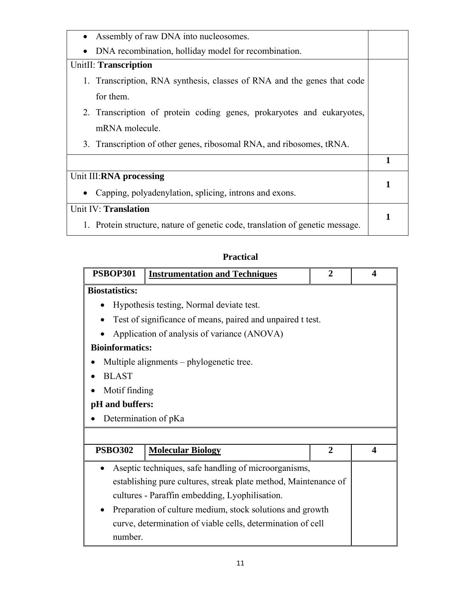| Assembly of raw DNA into nucleosomes.<br>$\bullet$                            |   |
|-------------------------------------------------------------------------------|---|
| DNA recombination, holliday model for recombination.<br>$\bullet$             |   |
| UnitII: Transcription                                                         |   |
| 1. Transcription, RNA synthesis, classes of RNA and the genes that code       |   |
| for them.                                                                     |   |
| 2. Transcription of protein coding genes, prokaryotes and eukaryotes,         |   |
| mRNA molecule.                                                                |   |
| 3. Transcription of other genes, ribosomal RNA, and ribosomes, tRNA.          |   |
|                                                                               | 1 |
| Unit III:RNA processing                                                       |   |
| Capping, polyadenylation, splicing, introns and exons.                        |   |
| Unit IV: Translation                                                          |   |
| 1. Protein structure, nature of genetic code, translation of genetic message. |   |
|                                                                               |   |

## **Practical**

| <b>PSBOP301</b>                                           | <b>Instrumentation and Techniques</b>                           | $\overline{2}$ | 4 |
|-----------------------------------------------------------|-----------------------------------------------------------------|----------------|---|
| <b>Biostatistics:</b>                                     |                                                                 |                |   |
|                                                           | Hypothesis testing, Normal deviate test.                        |                |   |
|                                                           | Test of significance of means, paired and unpaired t test.      |                |   |
|                                                           | Application of analysis of variance (ANOVA)                     |                |   |
| <b>Bioinformatics:</b>                                    |                                                                 |                |   |
|                                                           | Multiple alignments – phylogenetic tree.                        |                |   |
| <b>BLAST</b>                                              |                                                                 |                |   |
| Motif finding                                             |                                                                 |                |   |
| pH and buffers:                                           |                                                                 |                |   |
| Determination of pKa                                      |                                                                 |                |   |
|                                                           |                                                                 |                |   |
| <b>PSBO302</b>                                            | <b>Molecular Biology</b>                                        | $\overline{2}$ | 4 |
| $\bullet$                                                 | Aseptic techniques, safe handling of microorganisms,            |                |   |
|                                                           | establishing pure cultures, streak plate method, Maintenance of |                |   |
|                                                           | cultures - Paraffin embedding, Lyophilisation.                  |                |   |
| Preparation of culture medium, stock solutions and growth |                                                                 |                |   |
|                                                           | curve, determination of viable cells, determination of cell     |                |   |
| number.                                                   |                                                                 |                |   |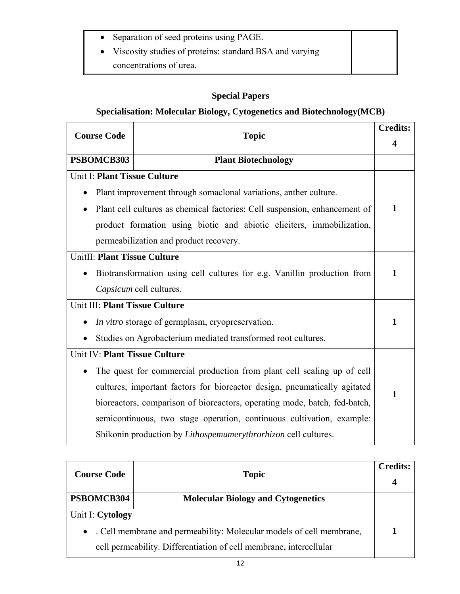- Separation of seed proteins using PAGE.
- Viscosity studies of proteins: standard BSA and varying concentrations of urea.

## **Special Papers**

## **Specialisation: Molecular Biology, Cytogenetics and Biotechnology(MCB)**

| <b>Course Code</b>             | <b>Credits:</b><br><b>Topic</b>                                            |              |
|--------------------------------|----------------------------------------------------------------------------|--------------|
|                                |                                                                            | 4            |
| PSBOMCB303                     | <b>Plant Biotechnology</b>                                                 |              |
| Unit I: Plant Tissue Culture   |                                                                            |              |
|                                | Plant improvement through somaclonal variations, anther culture.           |              |
|                                | Plant cell cultures as chemical factories: Cell suspension, enhancement of | $\mathbf{1}$ |
|                                | product formation using biotic and abiotic eliciters, immobilization,      |              |
|                                | permeabilization and product recovery.                                     |              |
| UnitII: Plant Tissue Culture   |                                                                            |              |
|                                | Biotransformation using cell cultures for e.g. Vanillin production from    | 1            |
|                                | Capsicum cell cultures.                                                    |              |
| Unit III: Plant Tissue Culture |                                                                            |              |
|                                | In vitro storage of germplasm, cryopreservation.                           | 1            |
|                                | Studies on Agrobacterium mediated transformed root cultures.               |              |
| Unit IV: Plant Tissue Culture  |                                                                            |              |
|                                | The quest for commercial production from plant cell scaling up of cell     |              |
|                                | cultures, important factors for bioreactor design, pneumatically agitated  | 1            |
|                                | bioreactors, comparison of bioreactors, operating mode, batch, fed-batch,  |              |
|                                | semicontinuous, two stage operation, continuous cultivation, example:      |              |
|                                | Shikonin production by <i>Lithospemumerythrorhizon</i> cell cultures.      |              |

| <b>Course Code</b><br><b>Topic</b> |                                                                      | <b>Credits:</b> |
|------------------------------------|----------------------------------------------------------------------|-----------------|
| PSBOMCB304                         | <b>Molecular Biology and Cytogenetics</b>                            |                 |
| Unit I: Cytology                   |                                                                      |                 |
| $\bullet$                          | . Cell membrane and permeability: Molecular models of cell membrane, |                 |
|                                    | cell permeability. Differentiation of cell membrane, intercellular   |                 |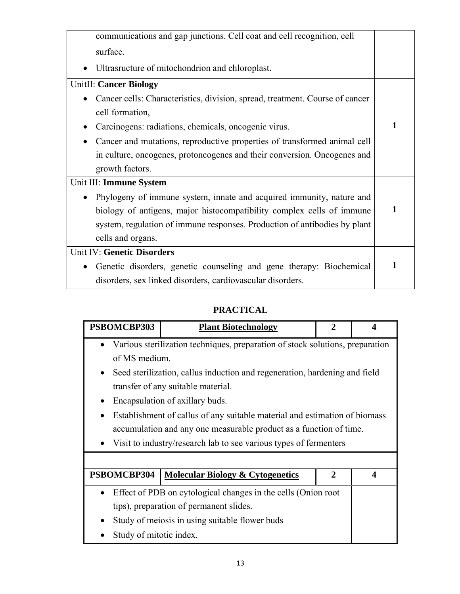| communications and gap junctions. Cell coat and cell recognition, cell       |   |
|------------------------------------------------------------------------------|---|
| surface.                                                                     |   |
| Ultrasructure of mitochondrion and chloroplast.                              |   |
| <b>UnitII: Cancer Biology</b>                                                |   |
| Cancer cells: Characteristics, division, spread, treatment. Course of cancer |   |
| cell formation,                                                              |   |
| Carcinogens: radiations, chemicals, oncogenic virus.                         |   |
| Cancer and mutations, reproductive properties of transformed animal cell     |   |
| in culture, oncogenes, protoncogenes and their conversion. Oncogenes and     |   |
| growth factors.                                                              |   |
| Unit III: Immune System                                                      |   |
| Phylogeny of immune system, innate and acquired immunity, nature and         |   |
| biology of antigens, major histocompatibility complex cells of immune        | 1 |
| system, regulation of immune responses. Production of antibodies by plant    |   |
| cells and organs.                                                            |   |
| <b>Unit IV: Genetic Disorders</b>                                            |   |
| Genetic disorders, genetic counseling and gene therapy: Biochemical          | 1 |
| disorders, sex linked disorders, cardiovascular disorders.                   |   |

## **PRACTICAL**

| PSBOMCBP303                                                                                | <b>Plant Biotechnology</b>                                                 | 2              |   |
|--------------------------------------------------------------------------------------------|----------------------------------------------------------------------------|----------------|---|
| Various sterilization techniques, preparation of stock solutions, preparation<br>$\bullet$ |                                                                            |                |   |
| of MS medium.                                                                              |                                                                            |                |   |
| $\bullet$                                                                                  | Seed sterilization, callus induction and regeneration, hardening and field |                |   |
|                                                                                            | transfer of any suitable material.                                         |                |   |
|                                                                                            | Encapsulation of axillary buds.                                            |                |   |
| $\bullet$                                                                                  | Establishment of callus of any suitable material and estimation of biomass |                |   |
|                                                                                            | accumulation and any one measurable product as a function of time.         |                |   |
|                                                                                            | Visit to industry/research lab to see various types of fermenters          |                |   |
|                                                                                            |                                                                            |                |   |
| PSBOMCBP304                                                                                | <b>Molecular Biology &amp; Cytogenetics</b>                                | $\overline{2}$ | 4 |
|                                                                                            | Effect of PDB on cytological changes in the cells (Onion root              |                |   |
|                                                                                            | tips), preparation of permanent slides.                                    |                |   |
|                                                                                            | Study of meiosis in using suitable flower buds                             |                |   |
| Study of mitotic index.                                                                    |                                                                            |                |   |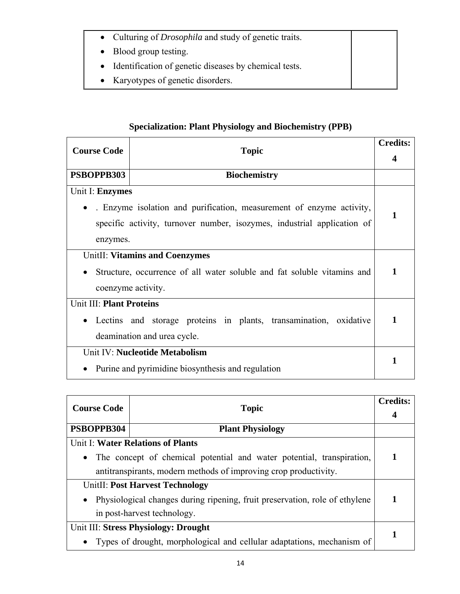- Culturing of *Drosophila* and study of genetic traits.
- Blood group testing.
- Identification of genetic diseases by chemical tests.
- Karyotypes of genetic disorders.

# **Specialization: Plant Physiology and Biochemistry (PPB)**

| <b>Course Code</b>              |                                                                         |   |
|---------------------------------|-------------------------------------------------------------------------|---|
|                                 | <b>Topic</b>                                                            | 4 |
| PSBOPPB303                      | <b>Biochemistry</b>                                                     |   |
| Unit I: Enzymes                 |                                                                         |   |
|                                 | . Enzyme isolation and purification, measurement of enzyme activity,    | 1 |
|                                 | specific activity, turnover number, isozymes, industrial application of |   |
| enzymes.                        |                                                                         |   |
|                                 | <b>UnitII: Vitamins and Coenzymes</b>                                   |   |
|                                 | Structure, occurrence of all water soluble and fat soluble vitamins and | 1 |
|                                 | coenzyme activity.                                                      |   |
| <b>Unit III: Plant Proteins</b> |                                                                         |   |
|                                 | Lectins and storage proteins in plants, transamination, oxidative       | 1 |
|                                 | deamination and urea cycle.                                             |   |
|                                 | Unit IV: Nucleotide Metabolism                                          |   |
|                                 | Purine and pyrimidine biosynthesis and regulation                       | 1 |

| <b>Course Code</b><br><b>Topic</b>                               |                                                                             | <b>Credits:</b> |
|------------------------------------------------------------------|-----------------------------------------------------------------------------|-----------------|
|                                                                  |                                                                             |                 |
| PSBOPPB304                                                       | <b>Plant Physiology</b>                                                     |                 |
|                                                                  | Unit I: Water Relations of Plants                                           |                 |
| $\bullet$                                                        | The concept of chemical potential and water potential, transpiration,       | 1               |
| antitranspirants, modern methods of improving crop productivity. |                                                                             |                 |
| <b>UnitII: Post Harvest Technology</b>                           |                                                                             |                 |
| $\bullet$                                                        | Physiological changes during ripening, fruit preservation, role of ethylene | 1               |
|                                                                  | in post-harvest technology.                                                 |                 |
| Unit III: Stress Physiology: Drought                             |                                                                             |                 |
|                                                                  | Types of drought, morphological and cellular adaptations, mechanism of      |                 |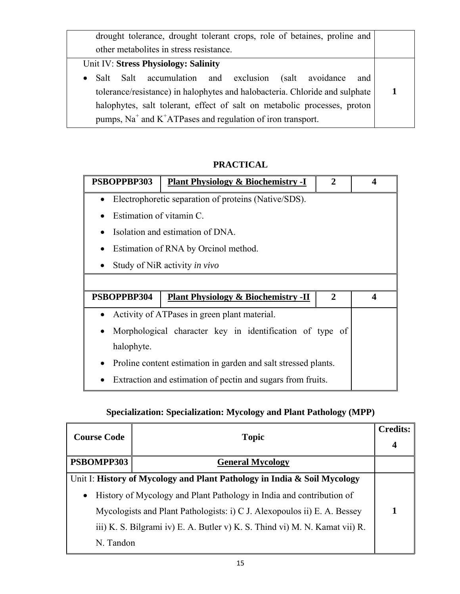| drought tolerance, drought tolerant crops, role of betaines, proline and    |  |  |
|-----------------------------------------------------------------------------|--|--|
| other metabolities in stress resistance.                                    |  |  |
| Unit IV: Stress Physiology: Salinity                                        |  |  |
| Salt Salt accumulation and exclusion (salt avoidance<br>and<br>$\bullet$    |  |  |
| tolerance/resistance) in halophytes and halobacteria. Chloride and sulphate |  |  |
| halophytes, salt tolerant, effect of salt on metabolic processes, proton    |  |  |
| pumps, $Na+$ and $K+ATPases$ and regulation of iron transport.              |  |  |

# **PRACTICAL**

| PSBOPPBP303              | <b>Plant Physiology &amp; Biochemistry -I</b>                  | $\mathbf{2}$ | $\boldsymbol{\Lambda}$ |
|--------------------------|----------------------------------------------------------------|--------------|------------------------|
| $\bullet$                | Electrophoretic separation of proteins (Native/SDS).           |              |                        |
| Estimation of vitamin C. |                                                                |              |                        |
|                          | Isolation and estimation of DNA.                               |              |                        |
|                          | Estimation of RNA by Orcinol method.                           |              |                        |
|                          | Study of NiR activity in vivo                                  |              |                        |
|                          |                                                                |              |                        |
| PSBOPPBP304              | <b>Plant Physiology &amp; Biochemistry -II</b>                 | $\mathbf{2}$ | 4                      |
| $\bullet$                | Activity of ATPases in green plant material.                   |              |                        |
|                          | Morphological character key in identification of type of       |              |                        |
| halophyte.               |                                                                |              |                        |
|                          | Proline content estimation in garden and salt stressed plants. |              |                        |
|                          | Extraction and estimation of pectin and sugars from fruits.    |              |                        |

# **Specialization: Specialization: Mycology and Plant Pathology (MPP)**

| <b>Course Code</b> | <b>Topic</b>                                                                |  |
|--------------------|-----------------------------------------------------------------------------|--|
| PSBOMPP303         | <b>General Mycology</b>                                                     |  |
|                    | Unit I: History of Mycology and Plant Pathology in India & Soil Mycology    |  |
| $\bullet$          | History of Mycology and Plant Pathology in India and contribution of        |  |
|                    | Mycologists and Plant Pathologists: i) C J. Alexopoulos ii) E. A. Bessey    |  |
|                    | iii) K. S. Bilgrami iv) E. A. Butler v) K. S. Thind vi) M. N. Kamat vii) R. |  |
| N. Tandon          |                                                                             |  |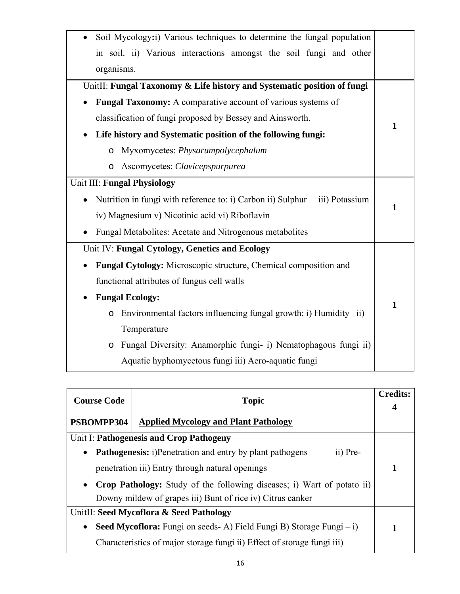| Soil Mycology:i) Various techniques to determine the fungal population        |              |
|-------------------------------------------------------------------------------|--------------|
| in soil. ii) Various interactions amongst the soil fungi and other            |              |
| organisms.                                                                    |              |
| UnitII: Fungal Taxonomy & Life history and Systematic position of fungi       |              |
| <b>Fungal Taxonomy:</b> A comparative account of various systems of           |              |
| classification of fungi proposed by Bessey and Ainsworth.                     |              |
| Life history and Systematic position of the following fungi:                  | $\mathbf{1}$ |
| Myxomycetes: Physarumpolycephalum<br>$\circ$                                  |              |
| Ascomycetes: Clavicepspurpurea<br>$\circ$                                     |              |
| Unit III: Fungal Physiology                                                   |              |
| Nutrition in fungi with reference to: i) Carbon ii) Sulphur<br>iii) Potassium |              |
| iv) Magnesium v) Nicotinic acid vi) Riboflavin                                | 1            |
| Fungal Metabolites: Acetate and Nitrogenous metabolites                       |              |
| Unit IV: Fungal Cytology, Genetics and Ecology                                |              |
| <b>Fungal Cytology:</b> Microscopic structure, Chemical composition and       |              |
| functional attributes of fungus cell walls                                    |              |
| <b>Fungal Ecology:</b>                                                        |              |
| Environmental factors influencing fungal growth: i) Humidity ii)<br>$\circ$   | $\mathbf{1}$ |
| Temperature                                                                   |              |
| Fungal Diversity: Anamorphic fungi- i) Nematophagous fungi ii)<br>$\circ$     |              |
| Aquatic hyphomycetous fungi iii) Aero-aquatic fungi                           |              |

| <b>Course Code</b>                              | <b>Topic</b>                                                                  |   |
|-------------------------------------------------|-------------------------------------------------------------------------------|---|
|                                                 |                                                                               | 4 |
| PSBOMPP304                                      | <b>Applied Mycology and Plant Pathology</b>                                   |   |
|                                                 | Unit I: Pathogenesis and Crop Pathogeny                                       |   |
| $\bullet$                                       | <b>Pathogenesis:</b> i)Penetration and entry by plant pathogens<br>ii) Pre-   |   |
| penetration iii) Entry through natural openings |                                                                               | 1 |
| $\bullet$                                       | <b>Crop Pathology:</b> Study of the following diseases; i) Wart of potato ii) |   |
|                                                 | Downy mildew of grapes iii) Bunt of rice iv) Citrus canker                    |   |
|                                                 | UnitII: Seed Mycoflora & Seed Pathology                                       |   |
| $\bullet$                                       | <b>Seed Mycoflora:</b> Fungi on seeds-A) Field Fungi B) Storage Fungi $-i$ )  |   |
|                                                 | Characteristics of major storage fungi ii) Effect of storage fungi iii)       |   |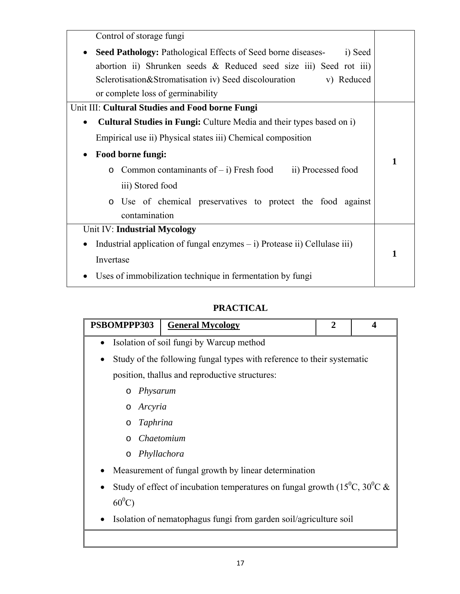| Control of storage fungi                                                                 |   |
|------------------------------------------------------------------------------------------|---|
| Seed Pathology: Pathological Effects of Seed borne diseases-<br>i) Seed<br>$\bullet$     |   |
| abortion ii) Shrunken seeds $\&$ Reduced seed size iii) Seed rot iii)                    |   |
| Sclerotisation&Stromatisation iv) Seed discolouration<br>v) Reduced                      |   |
| or complete loss of germinability                                                        |   |
| Unit III: Cultural Studies and Food borne Fungi                                          |   |
| <b>Cultural Studies in Fungi:</b> Culture Media and their types based on i)<br>$\bullet$ |   |
| Empirical use ii) Physical states iii) Chemical composition                              |   |
| Food borne fungi:                                                                        | 1 |
| Common contaminants of $-$ i) Fresh food<br>ii) Processed food<br>$\circ$                |   |
| iii) Stored food                                                                         |   |
| Use of chemical preservatives to protect the food against<br>$\circ$                     |   |
| contamination                                                                            |   |
| Unit IV: Industrial Mycology                                                             |   |
| Industrial application of fungal enzymes $-$ i) Protease ii) Cellulase iii)              |   |
| Invertase                                                                                | 1 |
| Uses of immobilization technique in fermentation by fungi                                |   |

# **PRACTICAL**

| PSBOMPPP303         | <b>General Mycology</b>                                                                             | $\mathbf{2}$ | $\boldsymbol{\Lambda}$ |
|---------------------|-----------------------------------------------------------------------------------------------------|--------------|------------------------|
|                     | Isolation of soil fungi by Warcup method                                                            |              |                        |
|                     | Study of the following fungal types with reference to their systematic                              |              |                        |
|                     | position, thallus and reproductive structures:                                                      |              |                        |
| Physarum<br>$\circ$ |                                                                                                     |              |                        |
| Arcyria<br>$\circ$  |                                                                                                     |              |                        |
| Taphrina<br>$\circ$ |                                                                                                     |              |                        |
| $\circ$             | Chaetomium                                                                                          |              |                        |
| $\circ$             | Phyllachora                                                                                         |              |                        |
|                     | Measurement of fungal growth by linear determination                                                |              |                        |
|                     | Study of effect of incubation temperatures on fungal growth (15 <sup>°</sup> C, 30 <sup>°</sup> C & |              |                        |
| $60^0C$             |                                                                                                     |              |                        |
|                     | Isolation of nematophagus fungi from garden soil/agriculture soil                                   |              |                        |
|                     |                                                                                                     |              |                        |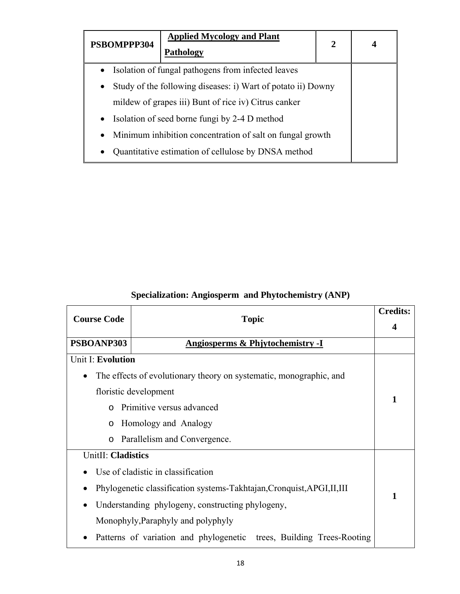| PSBOMPPP304 | <b>Applied Mycology and Plant</b><br>Pathology               | 2 |  |
|-------------|--------------------------------------------------------------|---|--|
| $\bullet$   | Isolation of fungal pathogens from infected leaves           |   |  |
| $\bullet$   | Study of the following diseases: i) Wart of potato ii) Downy |   |  |
|             | mildew of grapes iii) Bunt of rice iv) Citrus canker         |   |  |
| $\bullet$   | Isolation of seed borne fungi by 2-4 D method                |   |  |
| $\bullet$   | Minimum inhibition concentration of salt on fungal growth    |   |  |
| $\bullet$   | Quantitative estimation of cellulose by DNSA method          |   |  |

| <b>Course Code</b>                               | <b>Topic</b>                                                            | <b>Credits:</b><br>4 |
|--------------------------------------------------|-------------------------------------------------------------------------|----------------------|
| PSBOANP303                                       | Angiosperms & Phjytochemistry -I                                        |                      |
| Unit I: Evolution                                |                                                                         |                      |
| $\bullet$                                        | The effects of evolutionary theory on systematic, monographic, and      |                      |
|                                                  | floristic development                                                   |                      |
| $\Omega$                                         | Primitive versus advanced                                               | 1                    |
| $\circ$                                          | Homology and Analogy                                                    |                      |
| $\circ$                                          | Parallelism and Convergence.                                            |                      |
| UnitII: Cladistics                               |                                                                         |                      |
|                                                  | Use of cladistic in classification                                      |                      |
|                                                  | Phylogenetic classification systems-Takhtajan, Cronquist, APGI, II, III |                      |
| Understanding phylogeny, constructing phylogeny, |                                                                         | 1                    |
|                                                  | Monophyly, Paraphyly and polyphyly                                      |                      |
|                                                  | Patterns of variation and phylogenetic trees, Building Trees-Rooting    |                      |

# **Specialization: Angiosperm and Phytochemistry (ANP)**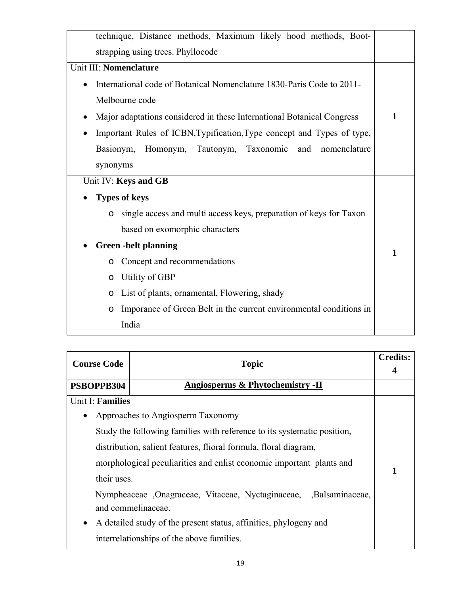| technique, Distance methods, Maximum likely hood methods, Boot-               |   |
|-------------------------------------------------------------------------------|---|
| strapping using trees. Phyllocode                                             |   |
| Unit III: Nomenclature                                                        |   |
| International code of Botanical Nomenclature 1830-Paris Code to 2011-         |   |
| Melbourne code                                                                |   |
| Major adaptations considered in these International Botanical Congress        | 1 |
| Important Rules of ICBN, Typification, Type concept and Types of type,        |   |
| Homonym, Tautonym, Taxonomic<br>Basionym,<br>and<br>nomenclature              |   |
| synonyms                                                                      |   |
| Unit IV: Keys and GB                                                          |   |
| <b>Types of keys</b>                                                          |   |
| single access and multi access keys, preparation of keys for Taxon<br>$\circ$ |   |
| based on exomorphic characters                                                |   |
| <b>Green -belt planning</b>                                                   |   |
| Concept and recommendations<br>O                                              | 1 |
| Utility of GBP<br>$\circ$                                                     |   |
| List of plants, ornamental, Flowering, shady<br>$\circ$                       |   |
| Imporance of Green Belt in the current environmental conditions in<br>$\circ$ |   |
| India                                                                         |   |

| <b>Course Code</b>                                                   | <b>Topic</b>                                                            | <b>Credits:</b> |
|----------------------------------------------------------------------|-------------------------------------------------------------------------|-----------------|
| PSBOPPB304                                                           | Angiosperms & Phytochemistry -II                                        |                 |
| Unit I: Families                                                     |                                                                         |                 |
| $\bullet$                                                            | Approaches to Angiosperm Taxonomy                                       |                 |
|                                                                      | Study the following families with reference to its systematic position, |                 |
| distribution, salient features, flioral formula, floral diagram,     |                                                                         |                 |
| morphological peculiarities and enlist economic important plants and |                                                                         |                 |
| their uses.                                                          |                                                                         |                 |
|                                                                      | Nympheaceae , Onagraceae, Vitaceae, Nyctaginaceae, , Balsaminaceae,     |                 |
|                                                                      | and commelinaceae.                                                      |                 |
| $\bullet$                                                            | A detailed study of the present status, affinities, phylogeny and       |                 |
|                                                                      | interrelationships of the above families.                               |                 |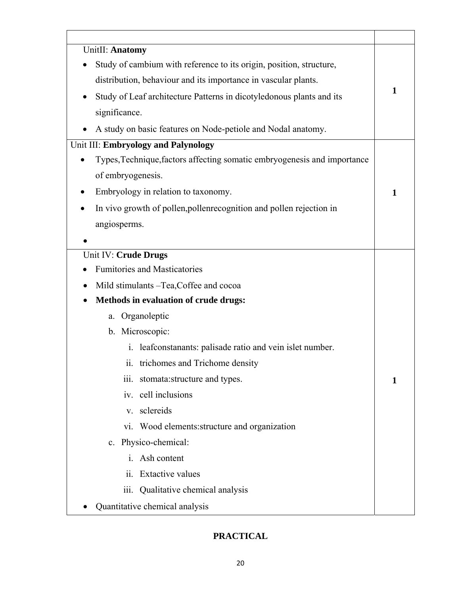| UnitII: Anatomy                                                          |   |
|--------------------------------------------------------------------------|---|
| Study of cambium with reference to its origin, position, structure,      |   |
| distribution, behaviour and its importance in vascular plants.           |   |
| Study of Leaf architecture Patterns in dicotyledonous plants and its     | 1 |
| significance.                                                            |   |
| A study on basic features on Node-petiole and Nodal anatomy.             |   |
| Unit III: Embryology and Palynology                                      |   |
| Types, Technique, factors affecting somatic embryogenesis and importance |   |
| of embryogenesis.                                                        |   |
| Embryology in relation to taxonomy.                                      | 1 |
| In vivo growth of pollen, pollent recognition and pollen rejection in    |   |
| angiosperms.                                                             |   |
|                                                                          |   |
| Unit IV: Crude Drugs                                                     |   |
| <b>Fumitories and Masticatories</b>                                      |   |
| Mild stimulants - Tea, Coffee and cocoa<br>$\bullet$                     |   |
| Methods in evaluation of crude drugs:                                    |   |
| Organoleptic<br>a.                                                       |   |
| b. Microscopic:                                                          |   |
| leafconstanants: palisade ratio and vein islet number.<br>$\mathbf{i}$ . |   |
| ii. trichomes and Trichome density                                       |   |
| iii. stomata: structure and types.                                       | 1 |
| iv. cell inclusions                                                      |   |
| v. sclereids                                                             |   |
| vi. Wood elements: structure and organization                            |   |
| c. Physico-chemical:                                                     |   |
| i. Ash content                                                           |   |
| <b>Extactive values</b><br>$\ddot{\mathbf{i}}$                           |   |
| Qualitative chemical analysis<br>$\overline{111}$ .                      |   |
| Quantitative chemical analysis                                           |   |

### **PRACTICAL**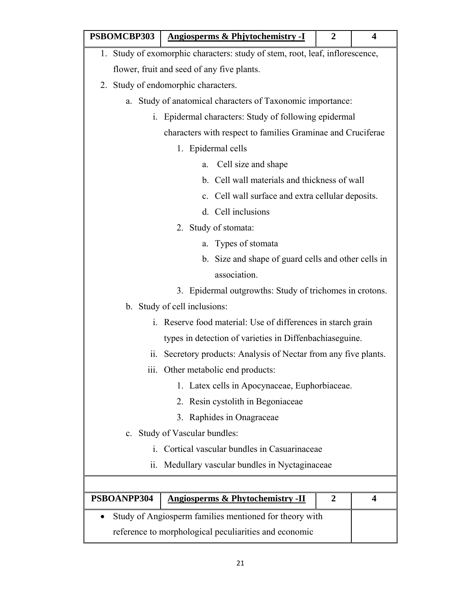| PSBOMCBP303                                                                  |                                                              | <b>Angiosperms &amp; Phjytochemistry -I</b>                 | 2 | 4 |  |
|------------------------------------------------------------------------------|--------------------------------------------------------------|-------------------------------------------------------------|---|---|--|
| 1. Study of exomorphic characters: study of stem, root, leaf, inflorescence, |                                                              |                                                             |   |   |  |
|                                                                              | flower, fruit and seed of any five plants.                   |                                                             |   |   |  |
| 2. Study of endomorphic characters.                                          |                                                              |                                                             |   |   |  |
|                                                                              |                                                              | a. Study of anatomical characters of Taxonomic importance:  |   |   |  |
| $\mathbf{i}$ .                                                               |                                                              | Epidermal characters: Study of following epidermal          |   |   |  |
|                                                                              |                                                              | characters with respect to families Graminae and Cruciferae |   |   |  |
|                                                                              |                                                              | 1. Epidermal cells                                          |   |   |  |
|                                                                              | a.                                                           | Cell size and shape                                         |   |   |  |
|                                                                              |                                                              | b. Cell wall materials and thickness of wall                |   |   |  |
|                                                                              |                                                              | c. Cell wall surface and extra cellular deposits.           |   |   |  |
|                                                                              |                                                              | d. Cell inclusions                                          |   |   |  |
|                                                                              |                                                              | 2. Study of stomata:                                        |   |   |  |
|                                                                              |                                                              | a. Types of stomata                                         |   |   |  |
|                                                                              |                                                              | b. Size and shape of guard cells and other cells in         |   |   |  |
|                                                                              |                                                              | association.                                                |   |   |  |
|                                                                              |                                                              | 3. Epidermal outgrowths: Study of trichomes in crotons.     |   |   |  |
| b. Study of cell inclusions:                                                 |                                                              |                                                             |   |   |  |
| i. Reserve food material: Use of differences in starch grain                 |                                                              |                                                             |   |   |  |
|                                                                              |                                                              | types in detection of varieties in Diffenbachiaseguine.     |   |   |  |
| 11.                                                                          | Secretory products: Analysis of Nectar from any five plants. |                                                             |   |   |  |
|                                                                              |                                                              | iii. Other metabolic end products:                          |   |   |  |
|                                                                              |                                                              | 1. Latex cells in Apocynaceae, Euphorbiaceae.               |   |   |  |
|                                                                              | 2. Resin cystolith in Begoniaceae                            |                                                             |   |   |  |
| 3. Raphides in Onagraceae                                                    |                                                              |                                                             |   |   |  |
| c. Study of Vascular bundles:                                                |                                                              |                                                             |   |   |  |
| Cortical vascular bundles in Casuarinaceae<br>$\mathbf{1}$                   |                                                              |                                                             |   |   |  |
| Medullary vascular bundles in Nyctaginaceae<br>11.                           |                                                              |                                                             |   |   |  |
|                                                                              |                                                              |                                                             |   |   |  |
| PSBOANPP304                                                                  |                                                              | <b>Angiosperms &amp; Phytochemistry -II</b>                 | 2 | 4 |  |
| Study of Angiosperm families mentioned for theory with                       |                                                              |                                                             |   |   |  |
|                                                                              |                                                              | reference to morphological peculiarities and economic       |   |   |  |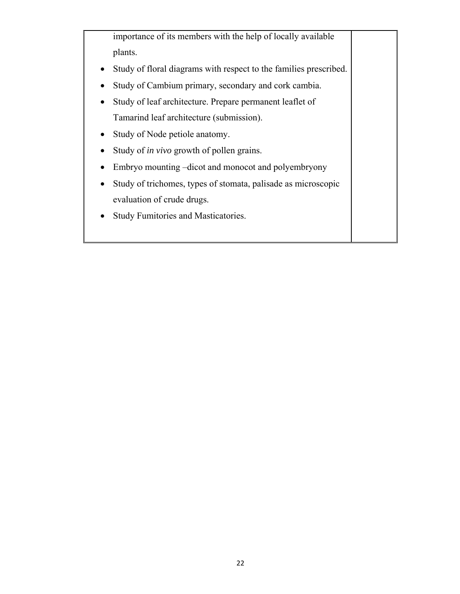importance of its members with the help of locally available plants.

- Study of floral diagrams with respect to the families prescribed.
- Study of Cambium primary, secondary and cork cambia.
- Study of leaf architecture. Prepare permanent leaflet of Tamarind leaf architecture (submission).
- Study of Node petiole anatomy.
- Study of *in vivo* growth of pollen grains.
- Embryo mounting –dicot and monocot and polyembryony
- Study of trichomes, types of stomata, palisade as microscopic evaluation of crude drugs.
- Study Fumitories and Masticatories.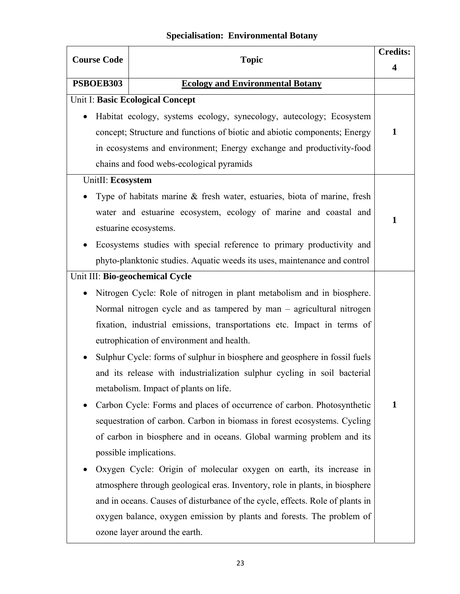# **Specialisation: Environmental Botany**

| <b>Course Code</b> | <b>Topic</b>                                                                  | <b>Credits:</b> |
|--------------------|-------------------------------------------------------------------------------|-----------------|
|                    |                                                                               | 4               |
| PSBOEB303          | <b>Ecology and Environmental Botany</b>                                       |                 |
|                    | Unit I: Basic Ecological Concept                                              |                 |
|                    | Habitat ecology, systems ecology, synecology, autecology; Ecosystem           |                 |
|                    | concept; Structure and functions of biotic and abiotic components; Energy     | 1               |
|                    | in ecosystems and environment; Energy exchange and productivity-food          |                 |
|                    | chains and food webs-ecological pyramids                                      |                 |
| UnitII: Ecosystem  |                                                                               |                 |
|                    | Type of habitats marine $\&$ fresh water, estuaries, biota of marine, fresh   |                 |
|                    | water and estuarine ecosystem, ecology of marine and coastal and              | $\mathbf{1}$    |
|                    | estuarine ecosystems.                                                         |                 |
|                    | Ecosystems studies with special reference to primary productivity and         |                 |
|                    | phyto-planktonic studies. Aquatic weeds its uses, maintenance and control     |                 |
|                    | Unit III: Bio-geochemical Cycle                                               |                 |
|                    | Nitrogen Cycle: Role of nitrogen in plant metabolism and in biosphere.        |                 |
|                    | Normal nitrogen cycle and as tampered by man – agricultural nitrogen          |                 |
|                    | fixation, industrial emissions, transportations etc. Impact in terms of       |                 |
|                    | eutrophication of environment and health.                                     |                 |
|                    | Sulphur Cycle: forms of sulphur in biosphere and geosphere in fossil fuels    |                 |
|                    | and its release with industrialization sulphur cycling in soil bacterial      |                 |
|                    | metabolism. Impact of plants on life.                                         |                 |
|                    | Carbon Cycle: Forms and places of occurrence of carbon. Photosynthetic        | $\mathbf{1}$    |
|                    | sequestration of carbon. Carbon in biomass in forest ecosystems. Cycling      |                 |
|                    | of carbon in biosphere and in oceans. Global warming problem and its          |                 |
|                    | possible implications.                                                        |                 |
|                    | Oxygen Cycle: Origin of molecular oxygen on earth, its increase in            |                 |
|                    | atmosphere through geological eras. Inventory, role in plants, in biosphere   |                 |
|                    | and in oceans. Causes of disturbance of the cycle, effects. Role of plants in |                 |
|                    | oxygen balance, oxygen emission by plants and forests. The problem of         |                 |
|                    | ozone layer around the earth.                                                 |                 |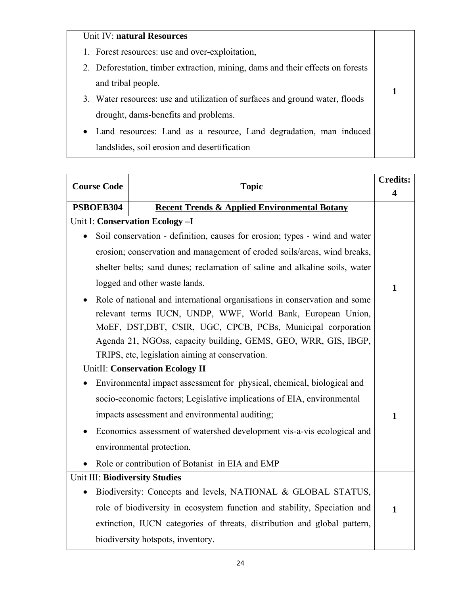# Unit IV: **natural Resources**

- 1. Forest resources: use and over-exploitation,
- 2. Deforestation, timber extraction, mining, dams and their effects on forests and tribal people.

**1** 

- 3. Water resources: use and utilization of surfaces and ground water, floods drought, dams-benefits and problems.
- Land resources: Land as a resource, Land degradation, man induced landslides, soil erosion and desertification

| <b>Course Code</b>             | <b>Topic</b>                                                                              | <b>Credits:</b>         |
|--------------------------------|-------------------------------------------------------------------------------------------|-------------------------|
| PSBOEB304                      |                                                                                           | $\overline{\mathbf{4}}$ |
|                                | <b>Recent Trends &amp; Applied Environmental Botany</b><br>Unit I: Conservation Ecology-I |                         |
| $\bullet$                      | Soil conservation - definition, causes for erosion; types - wind and water                |                         |
|                                | erosion; conservation and management of eroded soils/areas, wind breaks,                  |                         |
|                                |                                                                                           |                         |
|                                | shelter belts; sand dunes; reclamation of saline and alkaline soils, water                |                         |
|                                | logged and other waste lands.                                                             | $\mathbf{1}$            |
|                                | Role of national and international organisations in conservation and some                 |                         |
|                                | relevant terms IUCN, UNDP, WWF, World Bank, European Union,                               |                         |
|                                | MoEF, DST, DBT, CSIR, UGC, CPCB, PCBs, Municipal corporation                              |                         |
|                                | Agenda 21, NGOss, capacity building, GEMS, GEO, WRR, GIS, IBGP,                           |                         |
|                                | TRIPS, etc, legislation aiming at conservation.                                           |                         |
|                                | <b>UnitII: Conservation Ecology II</b>                                                    |                         |
|                                | Environmental impact assessment for physical, chemical, biological and                    |                         |
|                                | socio-economic factors; Legislative implications of EIA, environmental                    |                         |
|                                | impacts assessment and environmental auditing;                                            | $\mathbf{1}$            |
|                                | Economics assessment of watershed development vis-a-vis ecological and                    |                         |
|                                | environmental protection.                                                                 |                         |
|                                | Role or contribution of Botanist in EIA and EMP                                           |                         |
| Unit III: Biodiversity Studies |                                                                                           |                         |
| $\bullet$                      | Biodiversity: Concepts and levels, NATIONAL & GLOBAL STATUS,                              |                         |
|                                | role of biodiversity in ecosystem function and stability, Speciation and                  | $\mathbf{1}$            |
|                                | extinction, IUCN categories of threats, distribution and global pattern,                  |                         |
|                                | biodiversity hotspots, inventory.                                                         |                         |
|                                |                                                                                           |                         |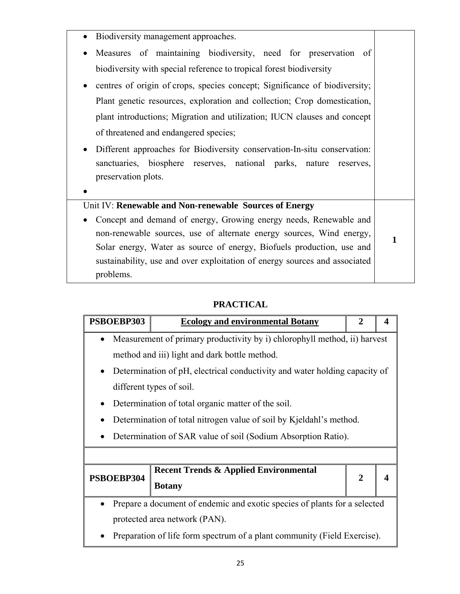| Biodiversity management approaches.<br>$\bullet$                                      |   |
|---------------------------------------------------------------------------------------|---|
| Measures of maintaining biodiversity, need for preservation of<br>$\bullet$           |   |
| biodiversity with special reference to tropical forest biodiversity                   |   |
| centres of origin of crops, species concept; Significance of biodiversity;            |   |
| Plant genetic resources, exploration and collection; Crop domestication,              |   |
| plant introductions; Migration and utilization; IUCN clauses and concept              |   |
| of threatened and endangered species;                                                 |   |
| Different approaches for Biodiversity conservation-In-situ conservation:<br>$\bullet$ |   |
| sanctuaries, biosphere reserves, national parks, nature<br>reserves,                  |   |
| preservation plots.                                                                   |   |
|                                                                                       |   |
| Unit IV: Renewable and Non-renewable Sources of Energy                                |   |
| Concept and demand of energy, Growing energy needs, Renewable and                     |   |
| non-renewable sources, use of alternate energy sources, Wind energy,                  | 1 |
| Solar energy, Water as source of energy, Biofuels production, use and                 |   |
| sustainability, use and over exploitation of energy sources and associated            |   |
| problems.                                                                             |   |

# **PRACTICAL**

| PSBOEBP303                                                                | <b>Ecology and environmental Botany</b>                                    | 2              |  |
|---------------------------------------------------------------------------|----------------------------------------------------------------------------|----------------|--|
| $\bullet$                                                                 | Measurement of primary productivity by i) chlorophyll method, ii) harvest  |                |  |
|                                                                           | method and iii) light and dark bottle method.                              |                |  |
| $\bullet$                                                                 | Determination of pH, electrical conductivity and water holding capacity of |                |  |
|                                                                           | different types of soil.                                                   |                |  |
|                                                                           | Determination of total organic matter of the soil.                         |                |  |
| Determination of total nitrogen value of soil by Kjeldahl's method.       |                                                                            |                |  |
| Determination of SAR value of soil (Sodium Absorption Ratio).             |                                                                            |                |  |
|                                                                           |                                                                            |                |  |
| PSBOEBP304                                                                | <b>Recent Trends &amp; Applied Environmental</b>                           | $\overline{2}$ |  |
|                                                                           | <b>Botany</b>                                                              |                |  |
| Prepare a document of endemic and exotic species of plants for a selected |                                                                            |                |  |
| protected area network (PAN).                                             |                                                                            |                |  |
| Preparation of life form spectrum of a plant community (Field Exercise).  |                                                                            |                |  |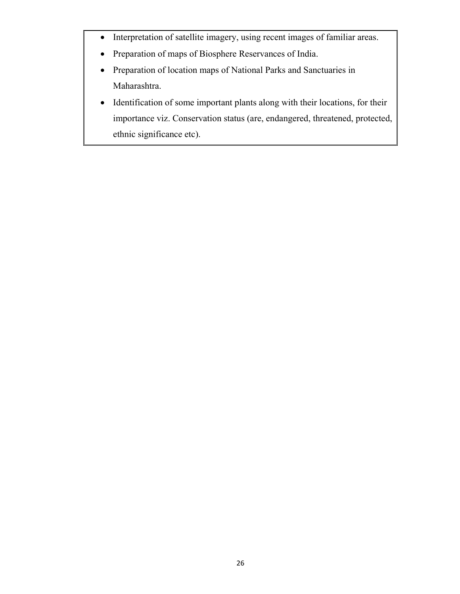- Interpretation of satellite imagery, using recent images of familiar areas.
- Preparation of maps of Biosphere Reservances of India.
- Preparation of location maps of National Parks and Sanctuaries in Maharashtra.
- Identification of some important plants along with their locations, for their importance viz. Conservation status (are, endangered, threatened, protected, ethnic significance etc).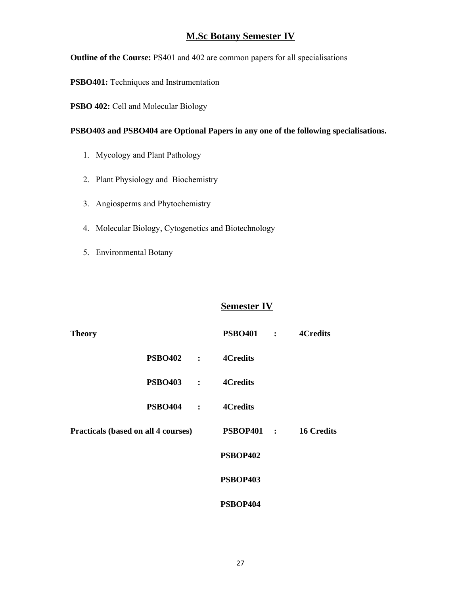### **M.Sc Botany Semester IV**

**Outline of the Course:** PS401 and 402 are common papers for all specialisations

**PSBO401:** Techniques and Instrumentation

**PSBO 402:** Cell and Molecular Biology

#### **PSBO403 and PSBO404 are Optional Papers in any one of the following specialisations.**

- 1. Mycology and Plant Pathology
- 2. Plant Physiology and Biochemistry
- 3. Angiosperms and Phytochemistry
- 4. Molecular Biology, Cytogenetics and Biotechnology
- 5. Environmental Botany

### **Semester IV**

| <b>Theory</b>                              |                  | <b>PSBO401 :</b> | <b>4Credits</b>   |
|--------------------------------------------|------------------|------------------|-------------------|
|                                            | $PSBO402$ :      | <b>4Credits</b>  |                   |
|                                            | <b>PSBO403</b> : | <b>4Credits</b>  |                   |
|                                            | $PSBO404$ :      | <b>4Credits</b>  |                   |
| <b>Practicals (based on all 4 courses)</b> |                  | PSBOP401 :       | <b>16 Credits</b> |
|                                            |                  | <b>PSBOP402</b>  |                   |
|                                            |                  | <b>PSBOP403</b>  |                   |
|                                            |                  | PSBOP404         |                   |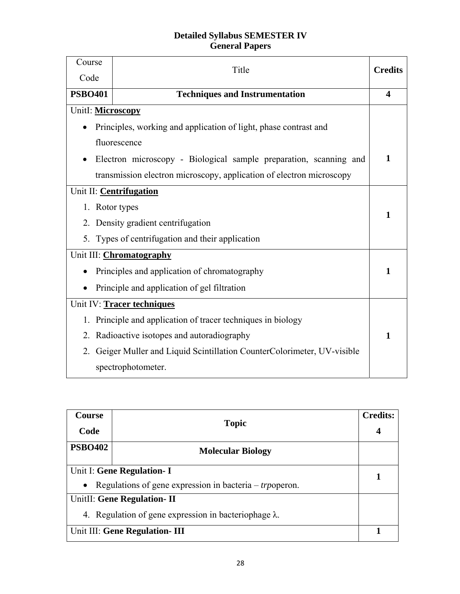### **Detailed Syllabus SEMESTER IV General Papers**

| Course            | Title                                                                 | <b>Credits</b> |
|-------------------|-----------------------------------------------------------------------|----------------|
| Code              |                                                                       |                |
| <b>PSBO401</b>    | <b>Techniques and Instrumentation</b>                                 | 4              |
| Unitl: Microscopy |                                                                       |                |
|                   | Principles, working and application of light, phase contrast and      |                |
|                   | fluorescence                                                          |                |
|                   | Electron microscopy - Biological sample preparation, scanning and     | 1              |
|                   | transmission electron microscopy, application of electron microscopy  |                |
|                   | Unit II: Centrifugation                                               |                |
| 1. Rotor types    |                                                                       | 1              |
|                   | 2. Density gradient centrifugation                                    |                |
| 5.                | Types of centrifugation and their application                         |                |
|                   | Unit III: Chromatography                                              |                |
|                   | Principles and application of chromatography                          | 1              |
|                   | Principle and application of gel filtration                           |                |
|                   | Unit IV: Tracer techniques                                            |                |
|                   | 1. Principle and application of tracer techniques in biology          |                |
| 2.                | Radioactive isotopes and autoradiography                              | 1              |
| $\overline{2}$ .  | Geiger Muller and Liquid Scintillation CounterColorimeter, UV-visible |                |
|                   | spectrophotometer.                                                    |                |

| <b>Course</b><br>Code                                                                                      | <b>Topic</b>                                                                                 | <b>Credits:</b> |
|------------------------------------------------------------------------------------------------------------|----------------------------------------------------------------------------------------------|-----------------|
| <b>PSBO402</b>                                                                                             | <b>Molecular Biology</b>                                                                     |                 |
| Unit I: Gene Regulation- I<br>Regulations of gene expression in bacteria – <i>trp</i> operon.<br>$\bullet$ |                                                                                              |                 |
|                                                                                                            | UnitII: Gene Regulation- II<br>4. Regulation of gene expression in bacteriophage $\lambda$ . |                 |
|                                                                                                            | Unit III: Gene Regulation- III                                                               |                 |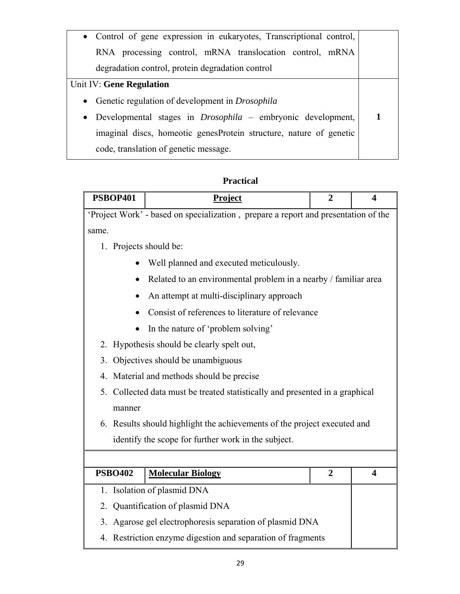| • Control of gene expression in eukaryotes, Transcriptional control,            |  |
|---------------------------------------------------------------------------------|--|
| RNA processing control, mRNA translocation control, mRNA                        |  |
| degradation control, protein degradation control                                |  |
| Unit IV: Gene Regulation                                                        |  |
| Genetic regulation of development in <i>Drosophila</i><br>$\bullet$             |  |
| Developmental stages in <i>Drosophila</i> – embryonic development,<br>$\bullet$ |  |
| imaginal discs, homeotic genesProtein structure, nature of genetic              |  |
| code, translation of genetic message.                                           |  |

# **Practical**

| <b>PSBOP401</b>                                             | <b>Project</b>                                                                     | $\overline{2}$ | 4                       |
|-------------------------------------------------------------|------------------------------------------------------------------------------------|----------------|-------------------------|
|                                                             | 'Project Work' - based on specialization, prepare a report and presentation of the |                |                         |
| same.                                                       |                                                                                    |                |                         |
| 1. Projects should be:                                      |                                                                                    |                |                         |
|                                                             | Well planned and executed meticulously.                                            |                |                         |
|                                                             | Related to an environmental problem in a nearby / familiar area                    |                |                         |
|                                                             | An attempt at multi-disciplinary approach                                          |                |                         |
|                                                             | Consist of references to literature of relevance                                   |                |                         |
| $\bullet$                                                   | In the nature of 'problem solving'                                                 |                |                         |
|                                                             | 2. Hypothesis should be clearly spelt out,                                         |                |                         |
| 3.                                                          | Objectives should be unambiguous                                                   |                |                         |
|                                                             | 4. Material and methods should be precise                                          |                |                         |
|                                                             | 5. Collected data must be treated statistically and presented in a graphical       |                |                         |
| manner                                                      |                                                                                    |                |                         |
|                                                             | 6. Results should highlight the achievements of the project executed and           |                |                         |
|                                                             | identify the scope for further work in the subject.                                |                |                         |
|                                                             |                                                                                    |                |                         |
| <b>PSBO402</b>                                              | <b>Molecular Biology</b>                                                           | $\overline{2}$ | $\overline{\mathbf{4}}$ |
|                                                             | 1. Isolation of plasmid DNA                                                        |                |                         |
| 2.                                                          | Quantification of plasmid DNA                                                      |                |                         |
| 3. Agarose gel electrophoresis separation of plasmid DNA    |                                                                                    |                |                         |
| 4. Restriction enzyme digestion and separation of fragments |                                                                                    |                |                         |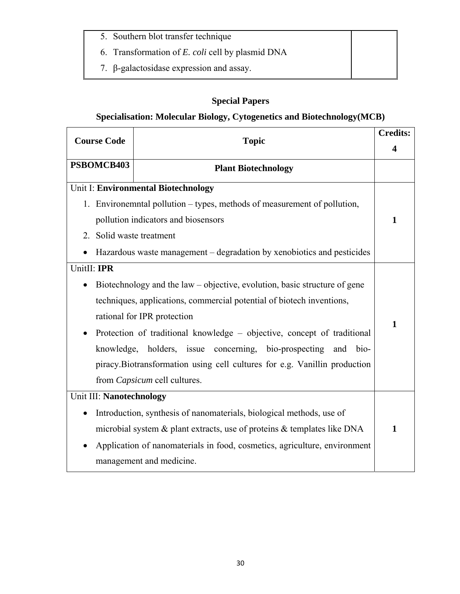- 5. Southern blot transfer technique
- 6. Transformation of *E. coli* cell by plasmid DNA
- 7. β-galactosidase expression and assay.

# **Special Papers**

## **Specialisation: Molecular Biology, Cytogenetics and Biotechnology(MCB)**

| <b>Course Code</b>       | <b>Topic</b>                                                               |   |
|--------------------------|----------------------------------------------------------------------------|---|
|                          |                                                                            |   |
| PSBOMCB403               | <b>Plant Biotechnology</b>                                                 |   |
|                          | Unit I: Environmental Biotechnology                                        |   |
| 1.                       | Environemntal pollution – types, methods of measurement of pollution,      |   |
|                          | pollution indicators and biosensors                                        | 1 |
| 2. Solid waste treatment |                                                                            |   |
|                          | Hazardous waste management – degradation by xenobiotics and pesticides     |   |
| UnitII: IPR              |                                                                            |   |
|                          | Biotechnology and the law – objective, evolution, basic structure of gene  |   |
|                          | techniques, applications, commercial potential of biotech inventions,      |   |
|                          | rational for IPR protection                                                | 1 |
|                          | Protection of traditional knowledge – objective, concept of traditional    |   |
| knowledge,               | holders, issue concerning, bio-prospecting<br>bio-<br>and                  |   |
|                          | piracy. Biotransformation using cell cultures for e.g. Vanillin production |   |
|                          | from <i>Capsicum</i> cell cultures.                                        |   |
| Unit III: Nanotechnology |                                                                            |   |
|                          | Introduction, synthesis of nanomaterials, biological methods, use of       |   |
|                          | microbial system & plant extracts, use of proteins & templates like DNA    | 1 |
|                          | Application of nanomaterials in food, cosmetics, agriculture, environment  |   |
|                          | management and medicine.                                                   |   |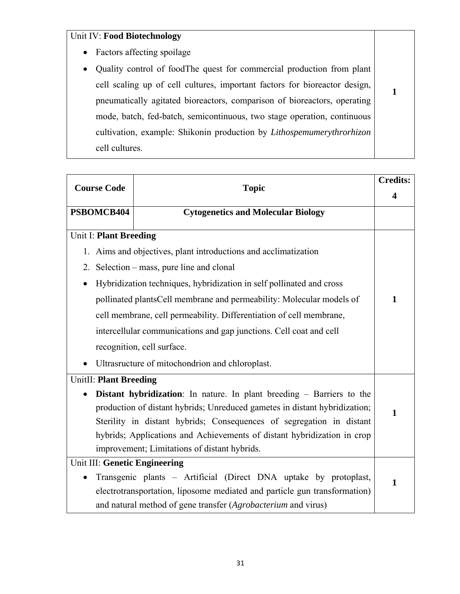## Unit IV: **Food Biotechnology**

- Factors affecting spoilage
- Quality control of foodThe quest for commercial production from plant cell scaling up of cell cultures, important factors for bioreactor design, pneumatically agitated bioreactors, comparison of bioreactors, operating mode, batch, fed-batch, semicontinuous, two stage operation, continuous cultivation, example: Shikonin production by *Lithospemumerythrorhizon* cell cultures.

**1** 

| <b>Course Code</b>            | <b>Credits:</b><br><b>Topic</b>                                              |                  |
|-------------------------------|------------------------------------------------------------------------------|------------------|
|                               |                                                                              | $\boldsymbol{4}$ |
| PSBOMCB404                    | <b>Cytogenetics and Molecular Biology</b>                                    |                  |
| <b>Unit I: Plant Breeding</b> |                                                                              |                  |
|                               | 1. Aims and objectives, plant introductions and acclimatization              |                  |
| 2.                            | Selection – mass, pure line and clonal                                       |                  |
| $\bullet$                     | Hybridization techniques, hybridization in self pollinated and cross         |                  |
|                               | pollinated plantsCell membrane and permeability: Molecular models of         | 1                |
|                               | cell membrane, cell permeability. Differentiation of cell membrane,          |                  |
|                               | intercellular communications and gap junctions. Cell coat and cell           |                  |
|                               | recognition, cell surface.                                                   |                  |
|                               | Ultrasructure of mitochondrion and chloroplast.                              |                  |
| <b>UnitII: Plant Breeding</b> |                                                                              |                  |
|                               | <b>Distant hybridization:</b> In nature. In plant breeding – Barriers to the |                  |
|                               | production of distant hybrids; Unreduced gametes in distant hybridization;   | 1                |
|                               | Sterility in distant hybrids; Consequences of segregation in distant         |                  |
|                               | hybrids; Applications and Achievements of distant hybridization in crop      |                  |
|                               | improvement; Limitations of distant hybrids.                                 |                  |
| Unit III: Genetic Engineering |                                                                              |                  |
| $\bullet$                     | Transgenic plants – Artificial (Direct DNA uptake by protoplast,             | $\mathbf{1}$     |
|                               | electrotransportation, liposome mediated and particle gun transformation)    |                  |
|                               | and natural method of gene transfer (Agrobacterium and virus)                |                  |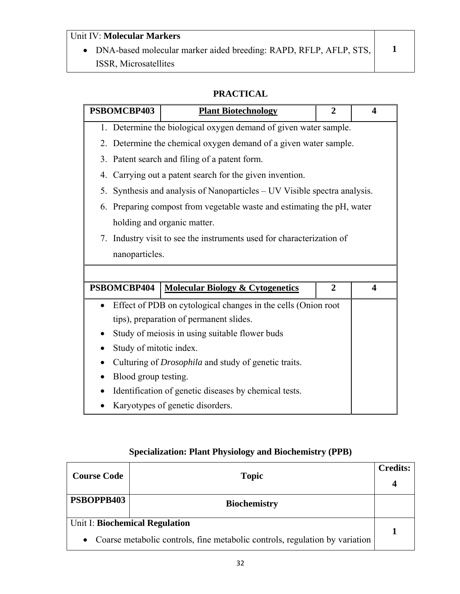## Unit IV: **Molecular Markers**

• DNA-based molecular marker aided breeding: RAPD, RFLP, AFLP, STS, ISSR, Microsatellites

**1** 

### **PRACTICAL**

| PSBOMCBP403             | <b>Plant Biotechnology</b>                                             | $\overline{2}$ | 4                       |
|-------------------------|------------------------------------------------------------------------|----------------|-------------------------|
|                         | 1. Determine the biological oxygen demand of given water sample.       |                |                         |
|                         | 2. Determine the chemical oxygen demand of a given water sample.       |                |                         |
|                         | 3. Patent search and filing of a patent form.                          |                |                         |
| 4.                      | Carrying out a patent search for the given invention.                  |                |                         |
| 5.                      | Synthesis and analysis of Nanoparticles – UV Visible spectra analysis. |                |                         |
|                         | 6. Preparing compost from vegetable waste and estimating the pH, water |                |                         |
|                         | holding and organic matter.                                            |                |                         |
|                         | 7. Industry visit to see the instruments used for characterization of  |                |                         |
| nanoparticles.          |                                                                        |                |                         |
|                         |                                                                        |                |                         |
| PSBOMCBP404             | <b>Molecular Biology &amp; Cytogenetics</b>                            | $\overline{2}$ | $\overline{\mathbf{4}}$ |
|                         |                                                                        |                |                         |
|                         | Effect of PDB on cytological changes in the cells (Onion root          |                |                         |
|                         | tips), preparation of permanent slides.                                |                |                         |
|                         | Study of meiosis in using suitable flower buds                         |                |                         |
| Study of mitotic index. |                                                                        |                |                         |
|                         | Culturing of Drosophila and study of genetic traits.                   |                |                         |
| Blood group testing.    |                                                                        |                |                         |
|                         | Identification of genetic diseases by chemical tests.                  |                |                         |
|                         | Karyotypes of genetic disorders.                                       |                |                         |

# **Specialization: Plant Physiology and Biochemistry (PPB)**

| <b>Course Code</b> | <b>Topic</b>                                                                                                  | <b>Credits:</b><br>4 |
|--------------------|---------------------------------------------------------------------------------------------------------------|----------------------|
| PSBOPPB403         | <b>Biochemistry</b>                                                                                           |                      |
| $\bullet$          | Unit I: Biochemical Regulation<br>Coarse metabolic controls, fine metabolic controls, regulation by variation |                      |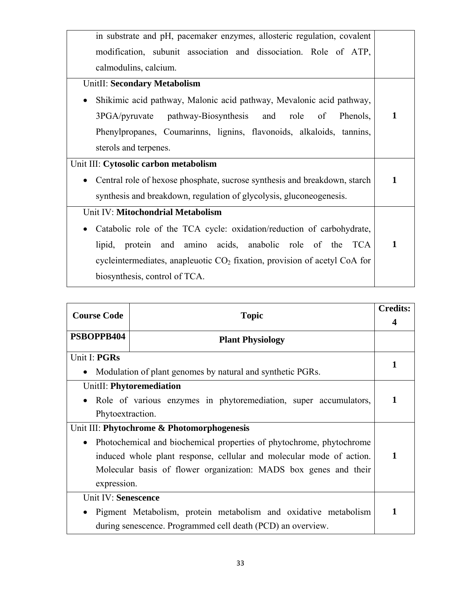| in substrate and pH, pacemaker enzymes, allosteric regulation, covalent                |              |
|----------------------------------------------------------------------------------------|--------------|
| modification, subunit association and dissociation. Role of ATP,                       |              |
| calmodulins, calcium.                                                                  |              |
| <b>UnitII: Secondary Metabolism</b>                                                    |              |
| Shikimic acid pathway, Malonic acid pathway, Mevalonic acid pathway,                   |              |
| 3PGA/pyruvate pathway-Biosynthesis and role of<br>Phenols,                             | 1            |
| Phenylpropanes, Coumarinns, lignins, flavonoids, alkaloids, tannins,                   |              |
| sterols and terpenes.                                                                  |              |
| Unit III: Cytosolic carbon metabolism                                                  |              |
| Central role of hexose phosphate, sucrose synthesis and breakdown, starch<br>$\bullet$ | $\mathbf{1}$ |
| synthesis and breakdown, regulation of glycolysis, gluconeogenesis.                    |              |
| Unit IV: Mitochondrial Metabolism                                                      |              |
| Catabolic role of the TCA cycle: oxidation/reduction of carbohydrate,<br>$\bullet$     |              |
|                                                                                        | 1            |
| lipid, protein and amino acids, anabolic role of the TCA                               |              |
| cycle<br>intermediates, anapleuotic $CO2$ fixation, provision of acetyl CoA for        |              |

| <b>Course Code</b><br><b>Topic</b> |                                                                      | <b>Credits:</b> |
|------------------------------------|----------------------------------------------------------------------|-----------------|
|                                    |                                                                      |                 |
| PSBOPPB404                         | <b>Plant Physiology</b>                                              |                 |
| Unit I: PGRs                       |                                                                      | 1               |
|                                    | Modulation of plant genomes by natural and synthetic PGRs.           |                 |
|                                    | UnitII: Phytoremediation                                             |                 |
|                                    | Role of various enzymes in phytoremediation, super accumulators,     | 1               |
| Phytoextraction.                   |                                                                      |                 |
|                                    | Unit III: Phytochrome & Photomorphogenesis                           |                 |
| $\bullet$                          | Photochemical and biochemical properties of phytochrome, phytochrome |                 |
|                                    | induced whole plant response, cellular and molecular mode of action. | 1               |
|                                    | Molecular basis of flower organization: MADS box genes and their     |                 |
| expression.                        |                                                                      |                 |
| Unit IV: Senescence                |                                                                      |                 |
| $\bullet$                          | Pigment Metabolism, protein metabolism and oxidative metabolism      | 1               |
|                                    | during senescence. Programmed cell death (PCD) an overview.          |                 |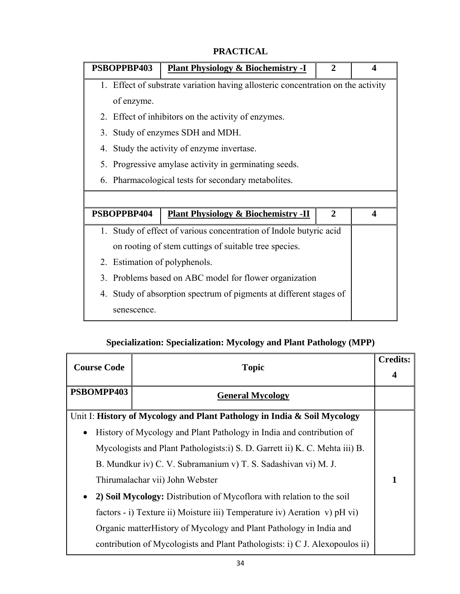| PSBOPPBP403                   | <b>Plant Physiology &amp; Biochemistry -I</b>                                    | $\mathbf{2}$ | 4                     |
|-------------------------------|----------------------------------------------------------------------------------|--------------|-----------------------|
|                               | 1. Effect of substrate variation having allosteric concentration on the activity |              |                       |
| of enzyme.                    |                                                                                  |              |                       |
|                               | 2. Effect of inhibitors on the activity of enzymes.                              |              |                       |
| 3.                            | Study of enzymes SDH and MDH.                                                    |              |                       |
|                               | 4. Study the activity of enzyme invertase.                                       |              |                       |
|                               | 5. Progressive amylase activity in germinating seeds.                            |              |                       |
|                               | 6. Pharmacological tests for secondary metabolites.                              |              |                       |
|                               |                                                                                  |              |                       |
| PSBOPPBP404                   | <b>Plant Physiology &amp; Biochemistry -II</b>                                   | $\mathbf{2}$ | $\boldsymbol{\Delta}$ |
|                               | 1. Study of effect of various concentration of Indole butyric acid               |              |                       |
|                               | on rooting of stem cuttings of suitable tree species.                            |              |                       |
| 2. Estimation of polyphenols. |                                                                                  |              |                       |
| $\mathcal{E}$                 | Problems based on ABC model for flower organization                              |              |                       |
|                               | 4. Study of absorption spectrum of pigments at different stages of               |              |                       |
| senescence.                   |                                                                                  |              |                       |

# **PRACTICAL**

# **Specialization: Specialization: Mycology and Plant Pathology (MPP)**

| <b>Course Code</b> | <b>Topic</b>                                                                 |   |
|--------------------|------------------------------------------------------------------------------|---|
|                    |                                                                              |   |
| PSBOMPP403         | <b>General Mycology</b>                                                      |   |
|                    | Unit I: History of Mycology and Plant Pathology in India & Soil Mycology     |   |
| $\bullet$          | History of Mycology and Plant Pathology in India and contribution of         |   |
|                    | Mycologists and Plant Pathologists: i) S. D. Garrett ii) K. C. Mehta iii) B. |   |
|                    | B. Mundkur iv) C. V. Subramanium v) T. S. Sadashivan vi) M. J.               |   |
|                    | Thirumalachar vii) John Webster                                              | 1 |
|                    | 2) Soil Mycology: Distribution of Mycoflora with relation to the soil        |   |
|                    | factors - i) Texture ii) Moisture iii) Temperature iv) Aeration v) pH vi)    |   |
|                    | Organic matter History of Mycology and Plant Pathology in India and          |   |
|                    | contribution of Mycologists and Plant Pathologists: i) C J. Alexopoulos ii)  |   |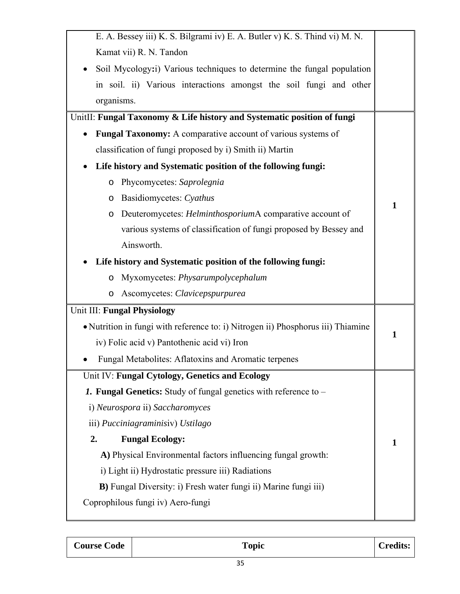| E. A. Bessey iii) K. S. Bilgrami iv) E. A. Butler v) K. S. Thind vi) M. N.       |   |
|----------------------------------------------------------------------------------|---|
| Kamat vii) R. N. Tandon                                                          |   |
| Soil Mycology: i) Various techniques to determine the fungal population          |   |
| in soil. ii) Various interactions amongst the soil fungi and other               |   |
| organisms.                                                                       |   |
| UnitII: Fungal Taxonomy & Life history and Systematic position of fungi          |   |
| Fungal Taxonomy: A comparative account of various systems of                     |   |
| classification of fungi proposed by i) Smith ii) Martin                          |   |
| Life history and Systematic position of the following fungi:                     |   |
| Phycomycetes: Saprolegnia<br>$\circ$                                             |   |
| Basidiomycetes: Cyathus<br>O                                                     | 1 |
| Deuteromycetes: <i>Helminthosporium</i> A comparative account of<br>O            |   |
| various systems of classification of fungi proposed by Bessey and                |   |
| Ainsworth.                                                                       |   |
| Life history and Systematic position of the following fungi:                     |   |
| Myxomycetes: Physarumpolycephalum<br>$\circ$                                     |   |
| Ascomycetes: Clavicepspurpurea<br>$\circ$                                        |   |
| Unit III: Fungal Physiology                                                      |   |
| • Nutrition in fungi with reference to: i) Nitrogen ii) Phosphorus iii) Thiamine |   |
| iv) Folic acid v) Pantothenic acid vi) Iron                                      | 1 |
| Fungal Metabolites: Aflatoxins and Aromatic terpenes                             |   |
| Unit IV: Fungal Cytology, Genetics and Ecology                                   |   |
| <b>1. Fungal Genetics:</b> Study of fungal genetics with reference to –          |   |
| i) Neurospora ii) Saccharomyces                                                  |   |
| iii) Pucciniagraminisiv) Ustilago                                                |   |
| 2.<br><b>Fungal Ecology:</b>                                                     | 1 |
| A) Physical Environmental factors influencing fungal growth:                     |   |
| i) Light ii) Hydrostatic pressure iii) Radiations                                |   |
| <b>B</b> ) Fungal Diversity: i) Fresh water fungi ii) Marine fungi iii)          |   |
| Coprophilous fungi iv) Aero-fungi                                                |   |
|                                                                                  |   |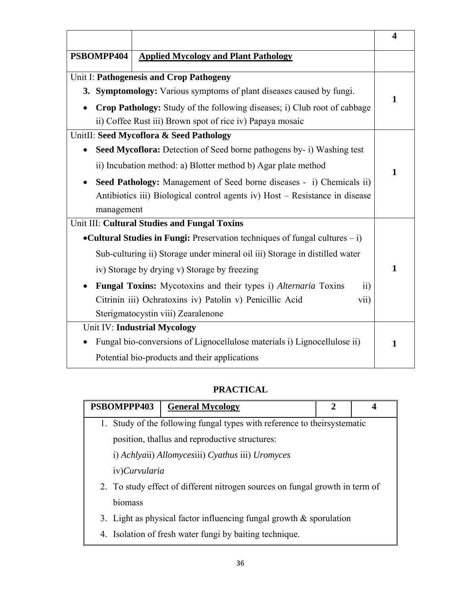|            |                                                                                          | $\boldsymbol{4}$ |
|------------|------------------------------------------------------------------------------------------|------------------|
| PSBOMPP404 | <b>Applied Mycology and Plant Pathology</b>                                              |                  |
|            | Unit I: Pathogenesis and Crop Pathogeny                                                  |                  |
|            | 3. Symptomology: Various symptoms of plant diseases caused by fungi.                     | 1                |
|            | Crop Pathology: Study of the following diseases; i) Club root of cabbage                 |                  |
|            | ii) Coffee Rust iii) Brown spot of rice iv) Papaya mosaic                                |                  |
|            | UnitII: Seed Mycoflora & Seed Pathology                                                  |                  |
|            | Seed Mycoflora: Detection of Seed borne pathogens by- i) Washing test                    |                  |
|            | ii) Incubation method: a) Blotter method b) Agar plate method                            | 1                |
|            | Seed Pathology: Management of Seed borne diseases - i) Chemicals ii)                     |                  |
|            | Antibiotics iii) Biological control agents iv) Host - Resistance in disease              |                  |
| management |                                                                                          |                  |
|            | Unit III: Cultural Studies and Fungal Toxins                                             |                  |
|            | • Cultural Studies in Fungi: Preservation techniques of fungal cultures $-i$ )           |                  |
|            | Sub-culturing ii) Storage under mineral oil iii) Storage in distilled water              |                  |
|            | iv) Storage by drying v) Storage by freezing                                             | 1                |
|            | <b>Fungal Toxins:</b> Mycotoxins and their types i) Alternaria Toxins<br>$\overline{11}$ |                  |
|            | Citrinin iii) Ochratoxins iv) Patolin v) Penicillic Acid<br>vii)                         |                  |
|            | Sterigmatocystin viii) Zearalenone                                                       |                  |
|            | Unit IV: Industrial Mycology                                                             |                  |
|            | Fungal bio-conversions of Lignocellulose materials i) Lignocellulose ii)                 | 1                |
|            | Potential bio-products and their applications                                            |                  |

# **PRACTICAL**

| PSBOMPPP403   | <b>General Mycology</b>                                                      | 2 | 4 |  |  |
|---------------|------------------------------------------------------------------------------|---|---|--|--|
|               | 1. Study of the following fungal types with reference to theirsystematic     |   |   |  |  |
|               | position, thallus and reproductive structures:                               |   |   |  |  |
|               | i) Achlyaii) Allomycesiii) Cyathus iii) Uromyces                             |   |   |  |  |
| iv)Curvularia |                                                                              |   |   |  |  |
|               | 2. To study effect of different nitrogen sources on fungal growth in term of |   |   |  |  |
| biomass       |                                                                              |   |   |  |  |
|               | 3. Light as physical factor influencing fungal growth $\&$ sporulation       |   |   |  |  |
| 4.            | Isolation of fresh water fungi by baiting technique.                         |   |   |  |  |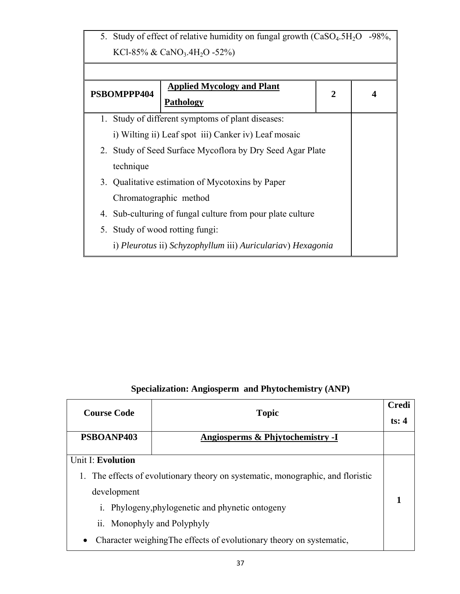| 5. Study of effect of relative humidity on fungal growth (CaSO <sub>4</sub> .5H <sub>2</sub> O -98%, |                                                             |                |  |  |
|------------------------------------------------------------------------------------------------------|-------------------------------------------------------------|----------------|--|--|
|                                                                                                      | KCl-85% & CaNO <sub>3</sub> .4H <sub>2</sub> O -52%)        |                |  |  |
|                                                                                                      |                                                             |                |  |  |
| PSBOMPPP404                                                                                          | <b>Applied Mycology and Plant</b>                           | $\overline{2}$ |  |  |
|                                                                                                      | <b>Pathology</b>                                            |                |  |  |
|                                                                                                      | 1. Study of different symptoms of plant diseases:           |                |  |  |
|                                                                                                      | i) Wilting ii) Leaf spot iii) Canker iv) Leaf mosaic        |                |  |  |
| 2. Study of Seed Surface Mycoflora by Dry Seed Agar Plate                                            |                                                             |                |  |  |
| technique                                                                                            |                                                             |                |  |  |
|                                                                                                      | 3. Qualitative estimation of Mycotoxins by Paper            |                |  |  |
|                                                                                                      | Chromatographic method                                      |                |  |  |
| 4.                                                                                                   | Sub-culturing of fungal culture from pour plate culture     |                |  |  |
| 5. Study of wood rotting fungi:                                                                      |                                                             |                |  |  |
|                                                                                                      | i) Pleurotus ii) Schyzophyllum iii) Auriculariav) Hexagonia |                |  |  |

# **Specialization: Angiosperm and Phytochemistry (ANP)**

| <b>Course Code</b>                           | <b>Topic</b>                                                                                                                                                                                                                         | Credi<br>ts: $4$ |
|----------------------------------------------|--------------------------------------------------------------------------------------------------------------------------------------------------------------------------------------------------------------------------------------|------------------|
| PSBOANP403                                   | Angiosperms & Phjytochemistry -I                                                                                                                                                                                                     |                  |
| Unit I: Evolution<br>1.<br>development<br>1. | The effects of evolutionary theory on systematic, monographic, and floristic<br>Phylogeny, phylogenetic and phynetic ontogeny<br>ii. Monophyly and Polyphyly<br>Character weighing The effects of evolutionary theory on systematic, |                  |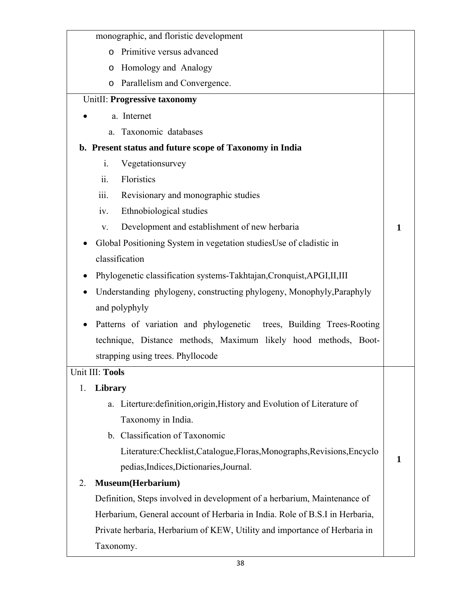| monographic, and floristic development                                      |   |
|-----------------------------------------------------------------------------|---|
| Primitive versus advanced<br>$\circ$                                        |   |
| Homology and Analogy<br>$\circ$                                             |   |
| Parallelism and Convergence.<br>$\circ$                                     |   |
| UnitII: Progressive taxonomy                                                |   |
| a. Internet                                                                 |   |
| Taxonomic databases<br>a.                                                   |   |
| b. Present status and future scope of Taxonomy in India                     |   |
| Vegetationsurvey<br>$\mathbf{i}$ .                                          |   |
| ii.<br>Floristics                                                           |   |
| iii.<br>Revisionary and monographic studies                                 |   |
| Ethnobiological studies<br>iv.                                              |   |
| Development and establishment of new herbaria<br>V.                         | 1 |
| Global Positioning System in vegetation studies Use of cladistic in         |   |
| classification                                                              |   |
| Phylogenetic classification systems-Takhtajan, Cronquist, APGI, II, III     |   |
| Understanding phylogeny, constructing phylogeny, Monophyly, Paraphyly       |   |
| and polyphyly                                                               |   |
| Patterns of variation and phylogenetic trees, Building Trees-Rooting        |   |
| technique, Distance methods, Maximum likely hood methods, Boot-             |   |
| strapping using trees. Phyllocode                                           |   |
| Unit III: Tools                                                             |   |
| Library<br>1.                                                               |   |
| Literture: definition, origin, History and Evolution of Literature of<br>a. |   |
| Taxonomy in India.                                                          |   |
| b. Classification of Taxonomic                                              |   |
| Literature: Checklist, Catalogue, Floras, Monographs, Revisions, Encyclo    | 1 |
| pedias, Indices, Dictionaries, Journal.                                     |   |
| Museum(Herbarium)<br>2.                                                     |   |
| Definition, Steps involved in development of a herbarium, Maintenance of    |   |
| Herbarium, General account of Herbaria in India. Role of B.S.I in Herbaria, |   |
| Private herbaria, Herbarium of KEW, Utility and importance of Herbaria in   |   |
| Taxonomy.                                                                   |   |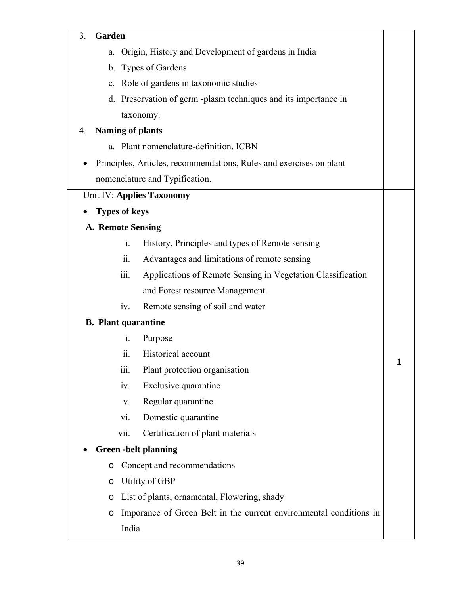#### 3. **Garden**

|  |  |  | a. Origin, History and Development of gardens in India |  |  |
|--|--|--|--------------------------------------------------------|--|--|
|--|--|--|--------------------------------------------------------|--|--|

b. Types of Gardens

- c. Role of gardens in taxonomic studies
- d. Preservation of germ -plasm techniques and its importance in taxonomy.

### 4. **Naming of plants**

- a. Plant nomenclature-definition, ICBN
- Principles, Articles, recommendations, Rules and exercises on plant nomenclature and Typification.

### Unit IV: **Applies Taxonomy**

### • **Types of keys**

### **A. Remote Sensing**

- i. History, Principles and types of Remote sensing
- ii. Advantages and limitations of remote sensing
- iii. Applications of Remote Sensing in Vegetation Classification and Forest resource Management.

**1** 

iv. Remote sensing of soil and water

#### **B. Plant quarantine**

- i. Purpose
- ii. Historical account
- iii. Plant protection organisation
- iv. Exclusive quarantine
- v. Regular quarantine
- vi. Domestic quarantine
- vii. Certification of plant materials

#### • **Green -belt planning**

- o Concept and recommendations
- o Utility of GBP
- o List of plants, ornamental, Flowering, shady
- o Imporance of Green Belt in the current environmental conditions in India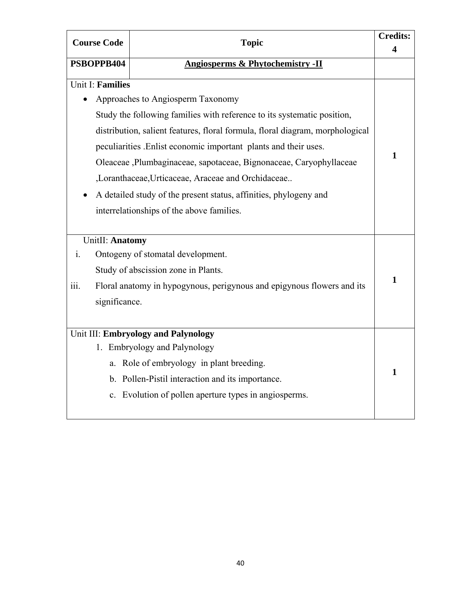| <b>Course Code</b><br><b>Topic</b> |                         | <b>Credits:</b>                                                               |                         |
|------------------------------------|-------------------------|-------------------------------------------------------------------------------|-------------------------|
|                                    |                         |                                                                               | $\overline{\mathbf{4}}$ |
|                                    | PSBOPPB404              | <b>Angiosperms &amp; Phytochemistry -II</b>                                   |                         |
|                                    | <b>Unit I: Families</b> |                                                                               |                         |
|                                    |                         | Approaches to Angiosperm Taxonomy                                             |                         |
|                                    |                         | Study the following families with reference to its systematic position,       |                         |
|                                    |                         | distribution, salient features, floral formula, floral diagram, morphological |                         |
|                                    |                         | peculiarities .Enlist economic important plants and their uses.               |                         |
|                                    |                         | Oleaceae, Plumbaginaceae, sapotaceae, Bignonaceae, Caryophyllaceae            | $\mathbf{1}$            |
|                                    |                         | ,Loranthaceae,Urticaceae, Araceae and Orchidaceae                             |                         |
|                                    |                         | A detailed study of the present status, affinities, phylogeny and             |                         |
|                                    |                         | interrelationships of the above families.                                     |                         |
|                                    |                         |                                                                               |                         |
|                                    | UnitII: Anatomy         |                                                                               |                         |
| $\mathbf{i}$ .                     |                         | Ontogeny of stomatal development.                                             |                         |
|                                    |                         | Study of abscission zone in Plants.                                           |                         |
| 111.                               |                         | Floral anatomy in hypogynous, perigynous and epigynous flowers and its        | $\mathbf{1}$            |
|                                    | significance.           |                                                                               |                         |
|                                    |                         |                                                                               |                         |
|                                    |                         | Unit III: Embryology and Palynology                                           |                         |
|                                    |                         | 1. Embryology and Palynology                                                  |                         |
|                                    |                         | a. Role of embryology in plant breeding.                                      |                         |
|                                    |                         | b. Pollen-Pistil interaction and its importance.                              | 1                       |
|                                    |                         | c. Evolution of pollen aperture types in angiosperms.                         |                         |
|                                    |                         |                                                                               |                         |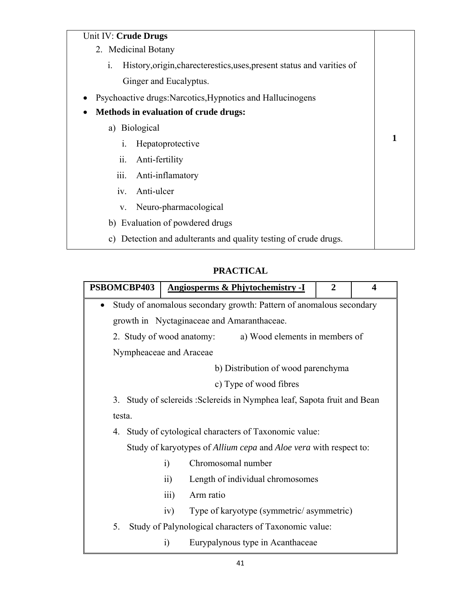#### Unit IV: **Crude Drugs**

| Unit IV: Crude Drugs                                                                     |              |
|------------------------------------------------------------------------------------------|--------------|
| 2. Medicinal Botany                                                                      |              |
| History, origin, charecterestics, uses, present status and varities of<br>$\mathbf{i}$ . |              |
| Ginger and Eucalyptus.                                                                   |              |
| Psychoactive drugs: Narcotics, Hypnotics and Hallucinogens                               |              |
| <b>Methods in evaluation of crude drugs:</b><br>٠                                        |              |
| a) Biological                                                                            |              |
| Hepatoprotective<br>1.                                                                   | $\mathbf{1}$ |
| ii.<br>Anti-fertility                                                                    |              |
| Anti-inflamatory<br>$\overline{111}$ .                                                   |              |
| Anti-ulcer<br>1V.                                                                        |              |
| Neuro-pharmacological<br>V.                                                              |              |
| b) Evaluation of powdered drugs                                                          |              |
| Detection and adulterants and quality testing of crude drugs.<br>C)                      |              |
|                                                                                          |              |

# **PRACTICAL**

| PSBOMCBP403 |                         |                  |                           | <b>Angiosperms &amp; Phjytochemistry -I</b>                              | $\overline{2}$ | $\overline{\mathbf{4}}$ |
|-------------|-------------------------|------------------|---------------------------|--------------------------------------------------------------------------|----------------|-------------------------|
| $\bullet$   |                         |                  |                           | Study of anomalous secondary growth: Pattern of anomalous secondary      |                |                         |
|             |                         |                  |                           | growth in Nyctaginaceae and Amaranthaceae.                               |                |                         |
|             |                         |                  | 2. Study of wood anatomy: | a) Wood elements in members of                                           |                |                         |
|             | Nympheaceae and Araceae |                  |                           |                                                                          |                |                         |
|             |                         |                  |                           | b) Distribution of wood parenchyma                                       |                |                         |
|             |                         |                  |                           | c) Type of wood fibres                                                   |                |                         |
|             |                         |                  |                           | 3. Study of sclereids : Sclereids in Nymphea leaf, Sapota fruit and Bean |                |                         |
| testa.      |                         |                  |                           |                                                                          |                |                         |
|             |                         |                  |                           | 4. Study of cytological characters of Taxonomic value:                   |                |                         |
|             |                         |                  |                           | Study of karyotypes of Allium cepa and Aloe vera with respect to:        |                |                         |
|             |                         | $\ddot{1}$       | Chromosomal number        |                                                                          |                |                         |
|             |                         | $\overline{11}$  |                           | Length of individual chromosomes                                         |                |                         |
|             |                         | $\overline{iii}$ | Arm ratio                 |                                                                          |                |                         |
|             |                         | iv)              |                           | Type of karyotype (symmetric/asymmetric)                                 |                |                         |
| 5.          |                         |                  |                           | Study of Palynological characters of Taxonomic value:                    |                |                         |
|             |                         | $\ddot{1}$       |                           | Eurypalynous type in Acanthaceae                                         |                |                         |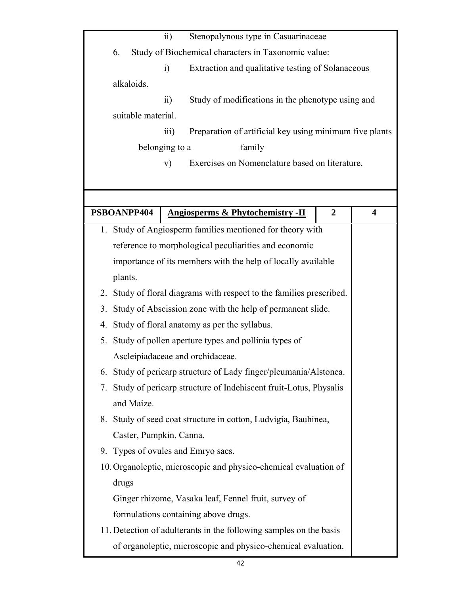| $\overline{11}$<br>Stenopalynous type in Casuarinaceae                       |                         |
|------------------------------------------------------------------------------|-------------------------|
| Study of Biochemical characters in Taxonomic value:<br>6.                    |                         |
| Extraction and qualitative testing of Solanaceous<br>$\ddot{1}$              |                         |
| alkaloids.                                                                   |                         |
| Study of modifications in the phenotype using and<br>$\overline{11}$ )       |                         |
| suitable material.                                                           |                         |
| Preparation of artificial key using minimum five plants<br>$\overline{111}$  |                         |
| belonging to a<br>family                                                     |                         |
| Exercises on Nomenclature based on literature.<br>V)                         |                         |
|                                                                              |                         |
|                                                                              |                         |
| PSBOANPP404<br><b>Angiosperms &amp; Phytochemistry -II</b><br>$\overline{2}$ | $\overline{\mathbf{4}}$ |
| 1. Study of Angiosperm families mentioned for theory with                    |                         |
| reference to morphological peculiarities and economic                        |                         |
| importance of its members with the help of locally available                 |                         |
| plants.                                                                      |                         |
| 2. Study of floral diagrams with respect to the families prescribed.         |                         |
| 3. Study of Abscission zone with the help of permanent slide.                |                         |
| Study of floral anatomy as per the syllabus.<br>4.                           |                         |
| Study of pollen aperture types and pollinia types of<br>5.                   |                         |
| Ascleipiadaceae and orchidaceae.                                             |                         |
| 6. Study of pericarp structure of Lady finger/pleumania/Alstonea.            |                         |
| Study of pericarp structure of Indehiscent fruit-Lotus, Physalis<br>7.       |                         |
| and Maize.                                                                   |                         |
| 8. Study of seed coat structure in cotton, Ludvigia, Bauhinea,               |                         |
| Caster, Pumpkin, Canna.                                                      |                         |
| 9. Types of ovules and Emryo sacs.                                           |                         |
| 10. Organoleptic, microscopic and physico-chemical evaluation of             |                         |
| drugs                                                                        |                         |
| Ginger rhizome, Vasaka leaf, Fennel fruit, survey of                         |                         |
| formulations containing above drugs.                                         |                         |
| 11. Detection of adulterants in the following samples on the basis           |                         |
|                                                                              |                         |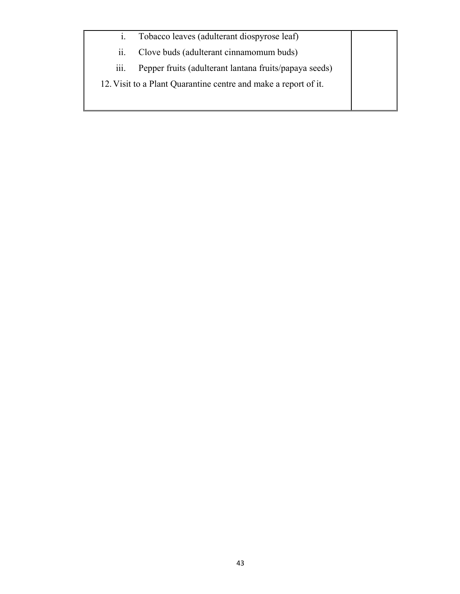i. Tobacco leaves (adulterant diospyrose leaf) ii. Clove buds (adulterant cinnamomum buds) iii. Pepper fruits (adulterant lantana fruits/papaya seeds) 12.Visit to a Plant Quarantine centre and make a report of it.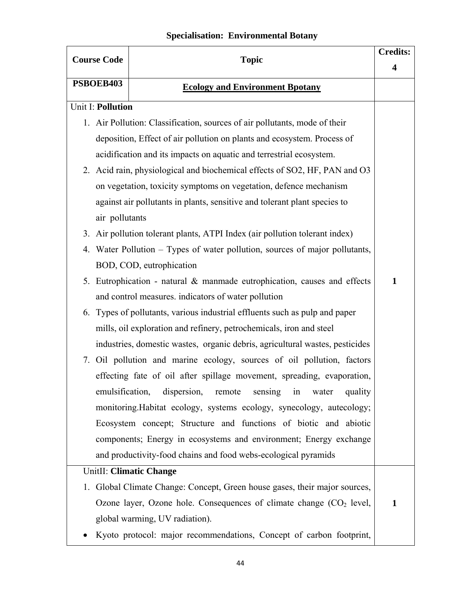# **Specialisation: Environmental Botany**

| <b>Course Code</b>       | <b>Topic</b>                                                                 |              |
|--------------------------|------------------------------------------------------------------------------|--------------|
| PSBOEB403                |                                                                              | 4            |
|                          | <b>Ecology and Environment Bpotany</b>                                       |              |
| <b>Unit I: Pollution</b> |                                                                              |              |
|                          | 1. Air Pollution: Classification, sources of air pollutants, mode of their   |              |
|                          | deposition, Effect of air pollution on plants and ecosystem. Process of      |              |
|                          | acidification and its impacts on aquatic and terrestrial ecosystem.          |              |
|                          | 2. Acid rain, physiological and biochemical effects of SO2, HF, PAN and O3   |              |
|                          | on vegetation, toxicity symptoms on vegetation, defence mechanism            |              |
|                          | against air pollutants in plants, sensitive and tolerant plant species to    |              |
| air pollutants           |                                                                              |              |
| 3.                       | Air pollution tolerant plants, ATPI Index (air pollution tolerant index)     |              |
| 4.                       | Water Pollution – Types of water pollution, sources of major pollutants,     |              |
|                          | BOD, COD, eutrophication                                                     |              |
|                          | 5. Eutrophication - natural & manmade eutrophication, causes and effects     | $\mathbf{1}$ |
|                          | and control measures, indicators of water pollution                          |              |
|                          | 6. Types of pollutants, various industrial effluents such as pulp and paper  |              |
|                          | mills, oil exploration and refinery, petrochemicals, iron and steel          |              |
|                          | industries, domestic wastes, organic debris, agricultural wastes, pesticides |              |
|                          | 7. Oil pollution and marine ecology, sources of oil pollution, factors       |              |
|                          | effecting fate of oil after spillage movement, spreading, evaporation,       |              |
|                          | emulsification, dispersion, remote<br>sensing in<br>water<br>quality         |              |
|                          | monitoring. Habitat ecology, systems ecology, synecology, autecology;        |              |
|                          | Ecosystem concept; Structure and functions of biotic and abiotic             |              |
|                          | components; Energy in ecosystems and environment; Energy exchange            |              |
|                          | and productivity-food chains and food webs-ecological pyramids               |              |
|                          | <b>UnitII: Climatic Change</b>                                               |              |
|                          | 1. Global Climate Change: Concept, Green house gases, their major sources,   |              |
|                          | Ozone layer, Ozone hole. Consequences of climate change $(CO2$ level,        | $\mathbf{1}$ |
|                          | global warming, UV radiation).                                               |              |
|                          | Kyoto protocol: major recommendations, Concept of carbon footprint,          |              |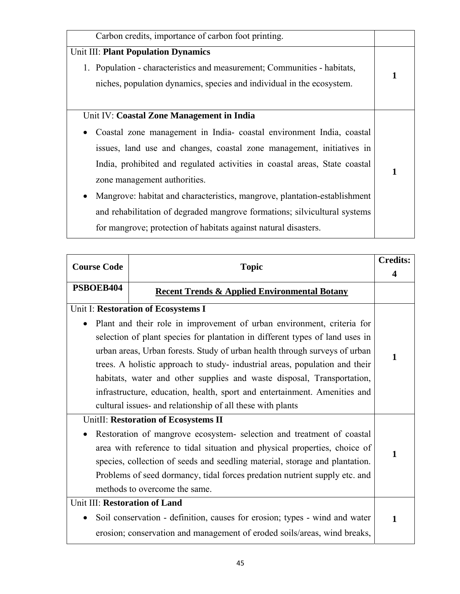| 1 |
|---|
|   |
|   |
|   |
|   |
|   |
| 1 |
|   |
|   |
|   |
|   |
|   |

| <b>Course Code</b><br><b>Topic</b> |                                                                              | <b>Credits:</b> |
|------------------------------------|------------------------------------------------------------------------------|-----------------|
|                                    |                                                                              |                 |
| PSBOEB404                          | <b>Recent Trends &amp; Applied Environmental Botany</b>                      |                 |
|                                    | Unit I: Restoration of Ecosystems I                                          |                 |
|                                    | Plant and their role in improvement of urban environment, criteria for       |                 |
|                                    | selection of plant species for plantation in different types of land uses in |                 |
|                                    | urban areas, Urban forests. Study of urban health through surveys of urban   | 1               |
|                                    | trees. A holistic approach to study- industrial areas, population and their  |                 |
|                                    | habitats, water and other supplies and waste disposal, Transportation,       |                 |
|                                    | infrastructure, education, health, sport and entertainment. Amenities and    |                 |
|                                    | cultural issues- and relationship of all these with plants                   |                 |
|                                    | UnitII: Restoration of Ecosystems II                                         |                 |
|                                    | Restoration of mangrove ecosystem- selection and treatment of coastal        |                 |
|                                    | area with reference to tidal situation and physical properties, choice of    | 1               |
|                                    | species, collection of seeds and seedling material, storage and plantation.  |                 |
|                                    | Problems of seed dormancy, tidal forces predation nutrient supply etc. and   |                 |
|                                    | methods to overcome the same.                                                |                 |
| Unit III: Restoration of Land      |                                                                              |                 |
|                                    | Soil conservation - definition, causes for erosion; types - wind and water   | 1               |
|                                    | erosion; conservation and management of eroded soils/areas, wind breaks,     |                 |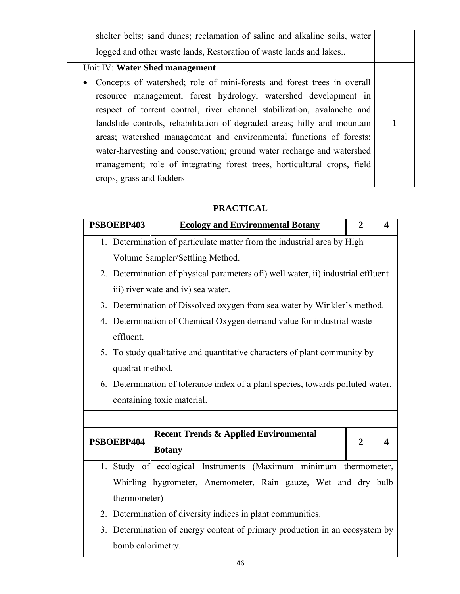shelter belts; sand dunes; reclamation of saline and alkaline soils, water logged and other waste lands, Restoration of waste lands and lakes.. Unit IV: **Water Shed management** • Concepts of watershed; role of mini-forests and forest trees in overall resource management, forest hydrology, watershed development in respect of torrent control, river channel stabilization, avalanche and landslide controls, rehabilitation of degraded areas; hilly and mountain areas; watershed management and environmental functions of forests; water-harvesting and conservation; ground water recharge and watershed management; role of integrating forest trees, horticultural crops, field crops, grass and fodders **1** 

#### **PRACTICAL**

|                                                                         | PSBOEBP403                                                                       | <b>Ecology and Environmental Botany</b>                          | $\mathbf{2}$   | $\boldsymbol{4}$      |  |  |  |
|-------------------------------------------------------------------------|----------------------------------------------------------------------------------|------------------------------------------------------------------|----------------|-----------------------|--|--|--|
| 1. Determination of particulate matter from the industrial area by High |                                                                                  |                                                                  |                |                       |  |  |  |
| Volume Sampler/Settling Method.                                         |                                                                                  |                                                                  |                |                       |  |  |  |
|                                                                         | 2. Determination of physical parameters ofi) well water, ii) industrial effluent |                                                                  |                |                       |  |  |  |
|                                                                         | iii) river wate and iv) sea water.                                               |                                                                  |                |                       |  |  |  |
|                                                                         | 3. Determination of Dissolved oxygen from sea water by Winkler's method.         |                                                                  |                |                       |  |  |  |
| 4. Determination of Chemical Oxygen demand value for industrial waste   |                                                                                  |                                                                  |                |                       |  |  |  |
|                                                                         | effluent.                                                                        |                                                                  |                |                       |  |  |  |
|                                                                         | 5. To study qualitative and quantitative characters of plant community by        |                                                                  |                |                       |  |  |  |
| quadrat method.                                                         |                                                                                  |                                                                  |                |                       |  |  |  |
|                                                                         | 6. Determination of tolerance index of a plant species, towards polluted water,  |                                                                  |                |                       |  |  |  |
|                                                                         | containing toxic material.                                                       |                                                                  |                |                       |  |  |  |
|                                                                         |                                                                                  |                                                                  |                |                       |  |  |  |
|                                                                         | PSBOEBP404                                                                       | <b>Recent Trends &amp; Applied Environmental</b>                 |                |                       |  |  |  |
|                                                                         |                                                                                  | <b>Botany</b>                                                    | $\overline{2}$ | $\boldsymbol{\Delta}$ |  |  |  |
|                                                                         |                                                                                  | 1. Study of ecological Instruments (Maximum minimum thermometer, |                |                       |  |  |  |
| Whirling hygrometer, Anemometer, Rain gauze, Wet and dry bulb           |                                                                                  |                                                                  |                |                       |  |  |  |
|                                                                         | thermometer)                                                                     |                                                                  |                |                       |  |  |  |
|                                                                         | 2. Determination of diversity indices in plant communities.                      |                                                                  |                |                       |  |  |  |
|                                                                         | 3. Determination of energy content of primary production in an ecosystem by      |                                                                  |                |                       |  |  |  |
|                                                                         | bomb calorimetry.                                                                |                                                                  |                |                       |  |  |  |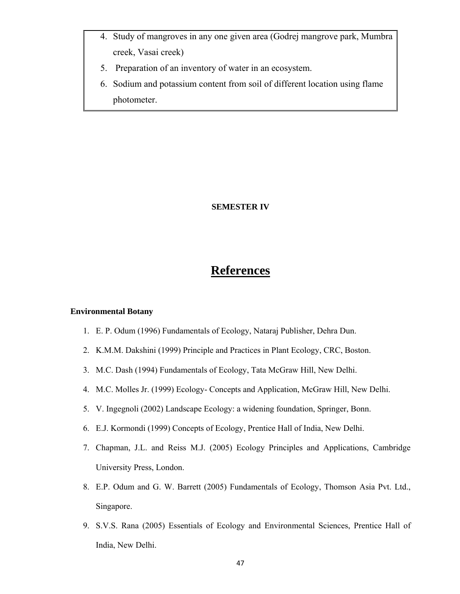- 4. Study of mangroves in any one given area (Godrej mangrove park, Mumbra creek, Vasai creek)
- 5. Preparation of an inventory of water in an ecosystem.
- 6. Sodium and potassium content from soil of different location using flame photometer.

#### **SEMESTER IV**

# **References**

#### **Environmental Botany**

- 1. E. P. Odum (1996) Fundamentals of Ecology, Nataraj Publisher, Dehra Dun.
- 2. K.M.M. Dakshini (1999) Principle and Practices in Plant Ecology, CRC, Boston.
- 3. M.C. Dash (1994) Fundamentals of Ecology, Tata McGraw Hill, New Delhi.
- 4. M.C. Molles Jr. (1999) Ecology- Concepts and Application, McGraw Hill, New Delhi.
- 5. V. Ingegnoli (2002) Landscape Ecology: a widening foundation, Springer, Bonn.
- 6. E.J. Kormondi (1999) Concepts of Ecology, Prentice Hall of India, New Delhi.
- 7. Chapman, J.L. and Reiss M.J. (2005) Ecology Principles and Applications, Cambridge University Press, London.
- 8. E.P. Odum and G. W. Barrett (2005) Fundamentals of Ecology, Thomson Asia Pvt. Ltd., Singapore.
- 9. S.V.S. Rana (2005) Essentials of Ecology and Environmental Sciences, Prentice Hall of India, New Delhi.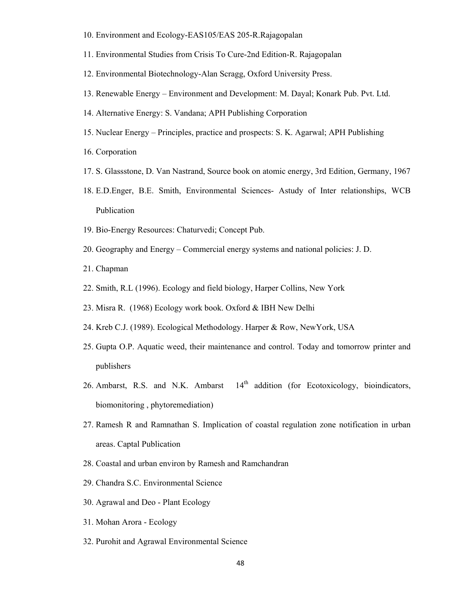- 10. Environment and Ecology-EAS105/EAS 205-R.Rajagopalan
- 11. Environmental Studies from Crisis To Cure-2nd Edition-R. Rajagopalan
- 12. Environmental Biotechnology-Alan Scragg, Oxford University Press.
- 13. Renewable Energy Environment and Development: M. Dayal; Konark Pub. Pvt. Ltd.
- 14. Alternative Energy: S. Vandana; APH Publishing Corporation
- 15. Nuclear Energy Principles, practice and prospects: S. K. Agarwal; APH Publishing
- 16. Corporation
- 17. S. Glassstone, D. Van Nastrand, Source book on atomic energy, 3rd Edition, Germany, 1967
- 18. E.D.Enger, B.E. Smith, Environmental Sciences- Astudy of Inter relationships, WCB Publication
- 19. Bio-Energy Resources: Chaturvedi; Concept Pub.
- 20. Geography and Energy Commercial energy systems and national policies: J. D.
- 21. Chapman
- 22. Smith, R.L (1996). Ecology and field biology, Harper Collins, New York
- 23. Misra R. (1968) Ecology work book. Oxford & IBH New Delhi
- 24. Kreb C.J. (1989). Ecological Methodology. Harper & Row, NewYork, USA
- 25. Gupta O.P. Aquatic weed, their maintenance and control. Today and tomorrow printer and publishers
- 26. Ambarst, R.S. and N.K. Ambarst  $14<sup>th</sup>$  addition (for Ecotoxicology, bioindicators, biomonitoring , phytoremediation)
- 27. Ramesh R and Ramnathan S. Implication of coastal regulation zone notification in urban areas. Captal Publication
- 28. Coastal and urban environ by Ramesh and Ramchandran
- 29. Chandra S.C. Environmental Science
- 30. Agrawal and Deo Plant Ecology
- 31. Mohan Arora Ecology
- 32. Purohit and Agrawal Environmental Science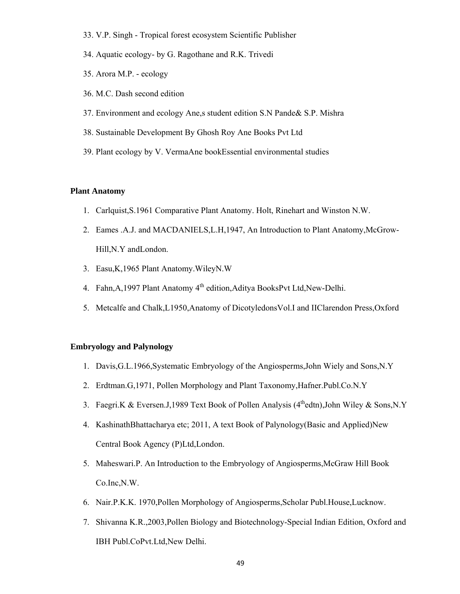- 33. V.P. Singh Tropical forest ecosystem Scientific Publisher
- 34. Aquatic ecology- by G. Ragothane and R.K. Trivedi
- 35. Arora M.P. ecology
- 36. M.C. Dash second edition
- 37. Environment and ecology Ane,s student edition S.N Pande& S.P. Mishra
- 38. Sustainable Development By Ghosh Roy Ane Books Pvt Ltd
- 39. Plant ecology by V. VermaAne bookEssential environmental studies

#### **Plant Anatomy**

- 1. Carlquist,S.1961 Comparative Plant Anatomy. Holt, Rinehart and Winston N.W.
- 2. Eames .A.J. and MACDANIELS,L.H,1947, An Introduction to Plant Anatomy,McGrow-Hill,N.Y andLondon.
- 3. Easu,K,1965 Plant Anatomy.WileyN.W
- 4. Fahn, A, 1997 Plant Anatomy 4<sup>th</sup> edition, Aditya BooksPvt Ltd, New-Delhi.
- 5. Metcalfe and Chalk,L1950,Anatomy of DicotyledonsVol.I and IIClarendon Press,Oxford

#### **Embryology and Palynology**

- 1. Davis,G.L.1966,Systematic Embryology of the Angiosperms,John Wiely and Sons,N.Y
- 2. Erdtman.G,1971, Pollen Morphology and Plant Taxonomy,Hafner.Publ.Co.N.Y
- 3. Faegri.K & Eversen.J, 1989 Text Book of Pollen Analysis ( $4<sup>th</sup>$ edtn), John Wiley & Sons, N.Y
- 4. KashinathBhattacharya etc; 2011, A text Book of Palynology(Basic and Applied)New Central Book Agency (P)Ltd,London.
- 5. Maheswari.P. An Introduction to the Embryology of Angiosperms,McGraw Hill Book Co.Inc,N.W.
- 6. Nair.P.K.K. 1970,Pollen Morphology of Angiosperms,Scholar Publ.House,Lucknow.
- 7. Shivanna K.R.,2003,Pollen Biology and Biotechnology-Special Indian Edition, Oxford and IBH Publ.CoPvt.Ltd,New Delhi.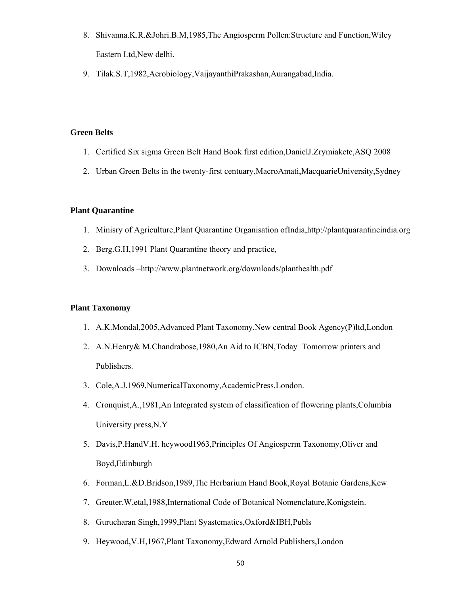- 8. Shivanna.K.R.&Johri.B.M,1985,The Angiosperm Pollen:Structure and Function,Wiley Eastern Ltd,New delhi.
- 9. Tilak.S.T,1982,Aerobiology,VaijayanthiPrakashan,Aurangabad,India.

#### **Green Belts**

- 1. Certified Six sigma Green Belt Hand Book first edition,DanielJ.Zrymiaketc,ASQ 2008
- 2. Urban Green Belts in the twenty-first centuary,MacroAmati,MacquarieUniversity,Sydney

#### **Plant Quarantine**

- 1. Minisry of Agriculture,Plant Quarantine Organisation ofIndia,http://plantquarantineindia.org
- 2. Berg.G.H,1991 Plant Quarantine theory and practice,
- 3. Downloads –http://www.plantnetwork.org/downloads/planthealth.pdf

#### **Plant Taxonomy**

- 1. A.K.Mondal,2005,Advanced Plant Taxonomy,New central Book Agency(P)ltd,London
- 2. A.N.Henry& M.Chandrabose,1980,An Aid to ICBN,Today Tomorrow printers and Publishers.
- 3. Cole,A.J.1969,NumericalTaxonomy,AcademicPress,London.
- 4. Cronquist,A.,1981,An Integrated system of classification of flowering plants,Columbia University press,N.Y
- 5. Davis,P.HandV.H. heywood1963,Principles Of Angiosperm Taxonomy,Oliver and Boyd,Edinburgh
- 6. Forman,L.&D.Bridson,1989,The Herbarium Hand Book,Royal Botanic Gardens,Kew
- 7. Greuter.W,etal,1988,International Code of Botanical Nomenclature,Konigstein.
- 8. Gurucharan Singh,1999,Plant Syastematics,Oxford&IBH,Publs
- 9. Heywood,V.H,1967,Plant Taxonomy,Edward Arnold Publishers,London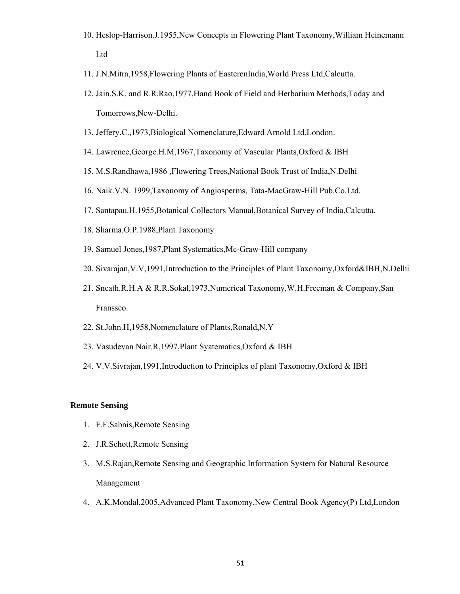- 10. Heslop-Harrison.J.1955,New Concepts in Flowering Plant Taxonomy,William Heinemann Ltd
- 11. J.N.Mitra,1958,Flowering Plants of EasterenIndia,World Press Ltd,Calcutta.
- 12. Jain.S.K. and R.R.Rao,1977,Hand Book of Field and Herbarium Methods,Today and Tomorrows,New-Delhi.
- 13. Jeffery.C.,1973,Biological Nomenclature,Edward Arnold Ltd,London.
- 14. Lawrence,George.H.M,1967,Taxonomy of Vascular Plants,Oxford & IBH
- 15. M.S.Randhawa,1986 ,Flowering Trees,National Book Trust of India,N.Delhi
- 16. Naik.V.N. 1999,Taxonomy of Angiosperms, Tata-MacGraw-Hill Pub.Co.Ltd.
- 17. Santapau.H.1955,Botanical Collectors Manual,Botanical Survey of India,Calcutta.
- 18. Sharma.O.P.1988,Plant Taxonomy
- 19. Samuel Jones,1987,Plant Systematics,Mc-Graw-Hill company
- 20. Sivarajan,V.V,1991,Introduction to the Principles of Plant Taxonomy,Oxford&IBH,N.Delhi
- 21. Sneath.R.H.A & R.R.Sokal,1973,Numerical Taxonomy,W.H.Freeman & Company,San Franssco.
- 22. St.John.H,1958,Nomenclature of Plants,Ronald,N.Y
- 23. Vasudevan Nair.R,1997,Plant Syatematics,Oxford & IBH
- 24. V.V.Sivrajan,1991,Introduction to Principles of plant Taxonomy,Oxford & IBH

#### **Remote Sensing**

- 1. F.F.Sabnis,Remote Sensing
- 2. J.R.Schott,Remote Sensing
- 3. M.S.Rajan,Remote Sensing and Geographic Information System for Natural Resource Management
- 4. A.K.Mondal,2005,Advanced Plant Taxonomy,New Central Book Agency(P) Ltd,London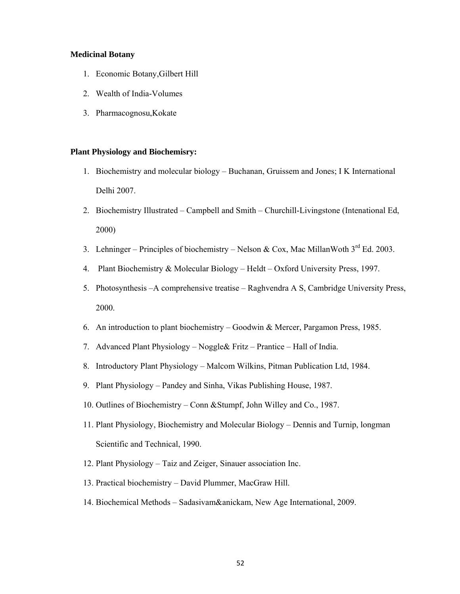#### **Medicinal Botany**

- 1. Economic Botany,Gilbert Hill
- 2. Wealth of India-Volumes
- 3. Pharmacognosu,Kokate

#### **Plant Physiology and Biochemisry:**

- 1. Biochemistry and molecular biology Buchanan, Gruissem and Jones; I K International Delhi 2007.
- 2. Biochemistry Illustrated Campbell and Smith Churchill-Livingstone (Intenational Ed, 2000)
- 3. Lehninger Principles of biochemistry Nelson & Cox, Mac MillanWoth  $3^{rd}$  Ed. 2003.
- 4. Plant Biochemistry & Molecular Biology Heldt Oxford University Press, 1997.
- 5. Photosynthesis –A comprehensive treatise Raghvendra A S, Cambridge University Press, 2000.
- 6. An introduction to plant biochemistry Goodwin & Mercer, Pargamon Press, 1985.
- 7. Advanced Plant Physiology Noggle& Fritz Prantice Hall of India.
- 8. Introductory Plant Physiology Malcom Wilkins, Pitman Publication Ltd, 1984.
- 9. Plant Physiology Pandey and Sinha, Vikas Publishing House, 1987.
- 10. Outlines of Biochemistry Conn &Stumpf, John Willey and Co., 1987.
- 11. Plant Physiology, Biochemistry and Molecular Biology Dennis and Turnip, longman Scientific and Technical, 1990.
- 12. Plant Physiology Taiz and Zeiger, Sinauer association Inc.
- 13. Practical biochemistry David Plummer, MacGraw Hill.
- 14. Biochemical Methods Sadasivam&anickam, New Age International, 2009.